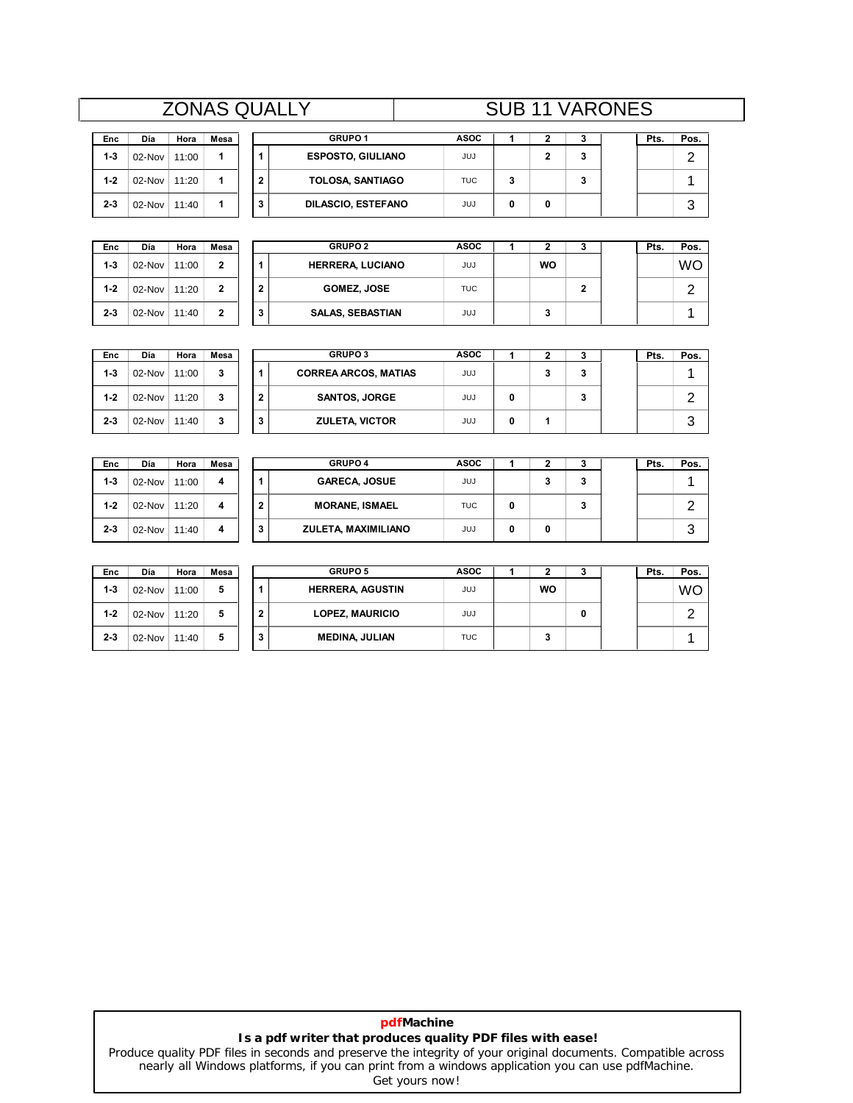## $ZONAS$  **QUALLY**

| Enc     | Día      | Hora  | Mesa |   |  |
|---------|----------|-------|------|---|--|
| $1 - 3$ | $02-Nov$ | 11:00 |      |   |  |
| $1 - 2$ | 02-Nov   | 11:20 |      | 2 |  |
| $2 - 3$ | 02-Nov   | 11:40 |      | 3 |  |

|        |       |      |   | <b>ZONAS QUALLY</b>       |             | <b>SUB 11 VARONES</b> |   |      |      |  |
|--------|-------|------|---|---------------------------|-------------|-----------------------|---|------|------|--|
| Día    | Hora  | Mesa |   | <b>GRUPO1</b>             | <b>ASOC</b> |                       |   | Pts. | Pos. |  |
| 02-Nov | 11:00 |      |   | <b>ESPOSTO, GIULIANO</b>  | JUJ         |                       | 3 |      | ⌒    |  |
| 02-Nov | 11:20 |      | 2 | <b>TOLOSA, SANTIAGO</b>   | <b>TUC</b>  | 3                     | 3 |      |      |  |
| 02-Nov | 11:40 |      | 3 | <b>DILASCIO, ESTEFANO</b> | JUJ         | 0                     |   |      | າ    |  |

| Enc     | Día    | Hora  | Mesa         |
|---------|--------|-------|--------------|
| 1-3     | 02-Nov | 11:00 | $\mathbf{2}$ |
| $1-2$   | 02-Nov | 11:20 | 2            |
| $2 - 3$ | 02-Nov | 11:40 | 2            |

| Día    | Hora  | Mesa         |   | <b>GRUPO 2</b>          | <b>ASOC</b> |    |   | Pts. | Pos.      |
|--------|-------|--------------|---|-------------------------|-------------|----|---|------|-----------|
| 02-Nov | 11:00 | $\mathbf{2}$ |   | HERRERA, LUCIANO        | <b>JUJ</b>  | wo |   |      | <b>WO</b> |
| 02-Nov | 11:20 | $\mathbf{2}$ | ◠ | <b>GOMEZ, JOSE</b>      | TUC         |    | 2 |      | ◠         |
| 02-Nov | 11:40 | $\mathbf{2}$ | 3 | <b>SALAS, SEBASTIAN</b> | JUJ         | a  |   |      |           |

| Enc     | Día    | Hora  | Mesa |   | <b>GRUPO 3</b>              | <b>ASOC</b> |   |   | 3 | Pts. | Pos.   |
|---------|--------|-------|------|---|-----------------------------|-------------|---|---|---|------|--------|
| $1 - 3$ | 02-Nov | 11:00 | 3    |   | <b>CORREA ARCOS, MATIAS</b> | JUJ         |   | a | 3 |      |        |
| $1 - 2$ | 02-Nov | 11:20 | 3    | 2 | <b>SANTOS, JORGE</b>        | JUJ         | 0 |   | 3 |      |        |
| $2 - 3$ | 02-Nov | 11:40 | 3    | з | <b>ZULETA, VICTOR</b>       | JUJ         | 0 |   |   |      | ຈ<br>J |

| Enc     | Día       | Hora  | Mesa |   | <b>GRUPO 4</b>        | <b>ASOC</b> |   | 2 | 3 | Pts. | Pos. |
|---------|-----------|-------|------|---|-----------------------|-------------|---|---|---|------|------|
| $1 - 3$ | $02$ -Nov | 11:00 | 4    |   | <b>GARECA, JOSUE</b>  | JUJ         |   | 3 | 3 |      |      |
| $1 - 2$ | $02$ -Nov | 11:20 | 4    | 2 | <b>MORANE, ISMAEL</b> | <b>TUC</b>  | 0 |   | 3 |      | ◠    |
| $2 - 3$ | $02$ -Nov | 11:40 | 4    | 3 | ZULETA, MAXIMILIANO   | <b>JUJ</b>  | 0 | 0 |   |      | 3    |

| <b>Enc</b> | Día    | Hora  | Mesa |   | <b>GRUPO 5</b>          | <b>ASOC</b> |           |   | Pts. | Pos.   |
|------------|--------|-------|------|---|-------------------------|-------------|-----------|---|------|--------|
| $1 - 3$    | 02-Nov | 11:00 | 5    |   | <b>HERRERA, AGUSTIN</b> | <b>JUJ</b>  | <b>WO</b> |   |      | WO     |
| $1 - 2$    | 02-Nov | 11:20 | 5    | - | <b>LOPEZ, MAURICIO</b>  | <b>JUJ</b>  |           | 0 |      | ົ<br>▃ |
| $2 - 3$    | 02-Nov | 11:40 | 5    |   | <b>MEDINA, JULIAN</b>   | <b>TUC</b>  |           |   |      |        |

## **pdfMachine Is a pdf writer that produces quality PDF files with ease!**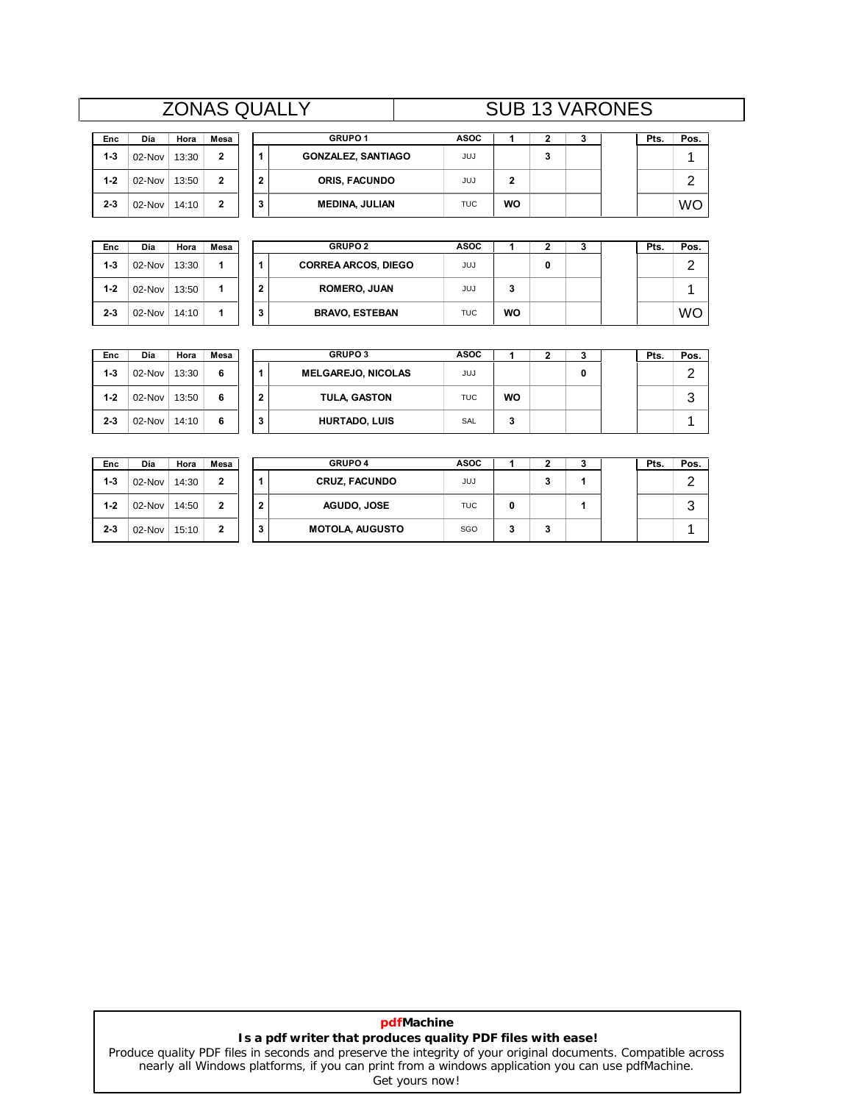## $ZONAS$  **QUALLY**

| Enc     | Día    | Hora  | Mesa         |              |  |
|---------|--------|-------|--------------|--------------|--|
| $1 - 3$ | 02-Nov | 13:30 | $\mathbf{2}$ |              |  |
| $1 - 2$ | 02-Nov | 13:50 | 2            | $\mathbf{2}$ |  |
| $2 - 3$ | 02-Nov | 14:10 | 2            | 3            |  |

|        |       |      |   | <b>ZONAS QUALLY</b>       |             | <b>SUB 13 VARONES</b> |   |  |      |      |  |
|--------|-------|------|---|---------------------------|-------------|-----------------------|---|--|------|------|--|
| Día    | Hora  | Mesa |   | <b>GRUPO1</b>             | <b>ASOC</b> |                       |   |  | Pts. | Pos. |  |
| 02-Nov | 13:30 | 2    |   | <b>GONZALEZ, SANTIAGO</b> | JUJ         |                       | 3 |  |      |      |  |
| 02-Nov | 13:50 | 2    | ົ | <b>ORIS, FACUNDO</b>      | JUJ         | 2                     |   |  |      | ົ    |  |
| 02-Nov | 14:10 | 2    | 3 | <b>MEDINA, JULIAN</b>     | TUC         | WO                    |   |  |      | WO   |  |

| Enc     | Día      | Hora  | Mesa |
|---------|----------|-------|------|
| 1-3     | $02-Nov$ | 13:30 |      |
| $1-2$   | 02-Nov   | 13:50 |      |
| $2 - 3$ | 02-Nov   | 14:10 |      |

**2-3**

 $2 - 3$ 

**1-2**

**1-3**

| Día    | Hora  | Mesa |   | <b>GRUPO 2</b>             | <b>ASOC</b> |    |   |  | Pts. | Pos. |
|--------|-------|------|---|----------------------------|-------------|----|---|--|------|------|
| 02-Nov | 13:30 | 1    |   | <b>CORREA ARCOS, DIEGO</b> | JUJ         |    | 0 |  |      | ◠    |
| 02-Nov | 13:50 |      | ົ | <b>ROMERO, JUAN</b>        | JUJ         | c  |   |  |      |      |
| 02-Nov | 14:10 |      | 3 | <b>BRAVO, ESTEBAN</b>      | TUC         | WO |   |  |      | WC   |

| Día    | Hora  | Mesa |                | <b>GRUPO 3</b>            | <b>ASOC</b> |           |   | Pts. | Pos.   |
|--------|-------|------|----------------|---------------------------|-------------|-----------|---|------|--------|
| 02-Nov | 13:30 | 6    |                | <b>MELGAREJO, NICOLAS</b> | <b>JUJ</b>  |           | 0 |      | ◠      |
| 02-Nov | 13:50 | 6    | 2              | TULA, GASTON              | <b>TUC</b>  | <b>WO</b> |   |      | ◠<br>u |
| 02-Nov | 14:10 | 6    | <b>•</b><br>J. | <b>HURTADO, LUIS</b>      | SAL         | 3         |   |      |        |

| <b>Enc</b> | Día    | Hora  | Mesa           |   | <b>GRUPO 4</b>         | <b>ASOC</b> |   | ▴ | 3 | Pts. | Pos. |
|------------|--------|-------|----------------|---|------------------------|-------------|---|---|---|------|------|
| $1 - 3$    | 02-Nov | 14:30 | $\overline{2}$ |   | <b>CRUZ, FACUNDO</b>   | <b>JUJ</b>  |   | 3 |   |      | ົ    |
| $1 - 2$    | 02-Nov | 14:50 | $\mathbf{2}$   | 2 | <b>AGUDO, JOSE</b>     | TUC         | 0 |   |   |      | 3    |
| $2 - 3$    | 02-Nov | 15:10 | $\mathbf{2}$   | 3 | <b>MOTOLA, AUGUSTO</b> | SGO         | 3 | 3 |   |      |      |

## **pdfMachine Is a pdf writer that produces quality PDF files with ease!**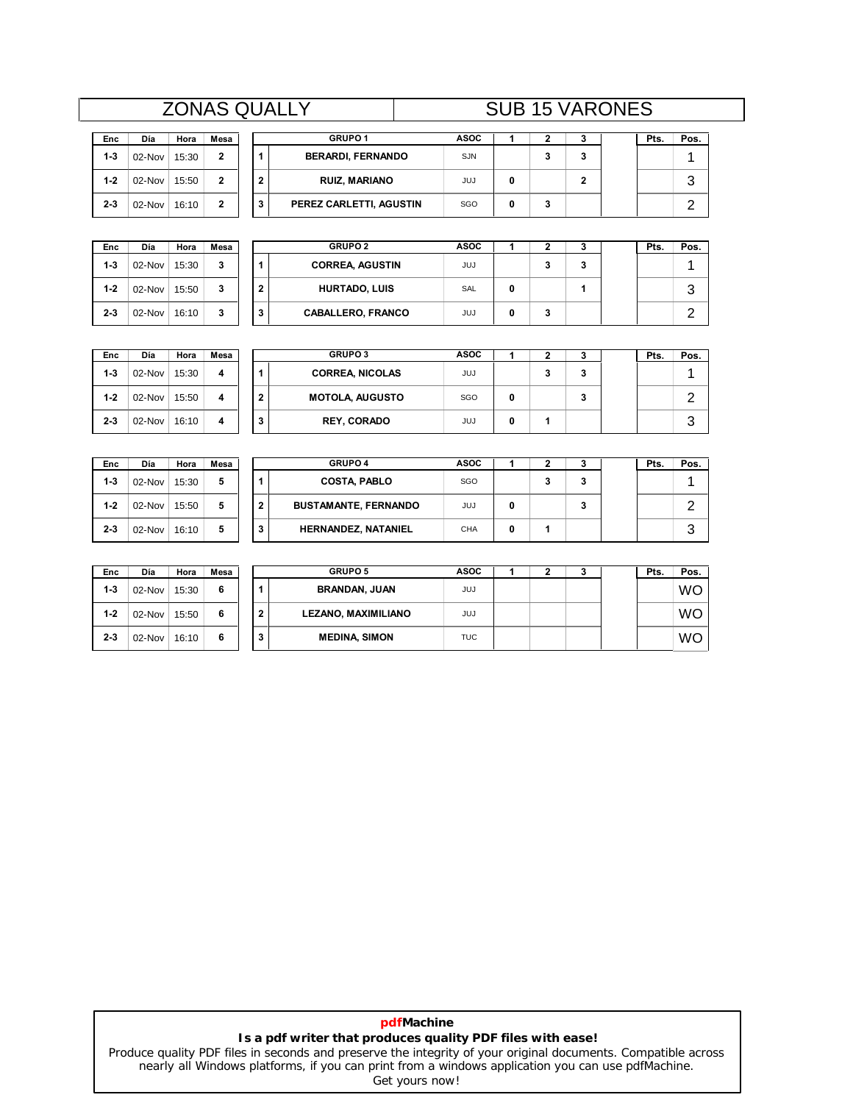# **DIALLY**<br>
<u>Hora Mesa</u><br>  $\sqrt{15:30 \t{2}}$

| Enc     | Día      | Hora  | Mesa |   |  |
|---------|----------|-------|------|---|--|
| $1 - 3$ | $02-Nov$ | 15:30 | 2    |   |  |
| $1 - 2$ | $02-Nov$ | 15:50 | 2    | 2 |  |
| $2 - 3$ | 02-Nov   | 16:10 | 2    | 3 |  |

|       |      |   | <b>ZONAS QUALLY</b>      |             | <b>SUB 15 VARONES</b> |   |   |      |      |
|-------|------|---|--------------------------|-------------|-----------------------|---|---|------|------|
| Hora  | Mesa |   | <b>GRUPO1</b>            | <b>ASOC</b> |                       | 2 |   | Pts. | Pos. |
| 15:30 | 2    |   | <b>BERARDI, FERNANDO</b> | <b>SJN</b>  |                       | 3 | 3 |      |      |
| 15:50 | 2    | 2 | <b>RUIZ, MARIANO</b>     | JUJ         | 0                     |   | 2 |      | ว    |
| 16:10 | 2    | 3 | PEREZ CARLETTI, AGUSTIN  | SGO         | 0                     | 3 |   |      | ⌒    |

| Enc     | Día      | Hora  | Mesa |
|---------|----------|-------|------|
| 1-3     | $02-Nov$ | 15:30 | 3    |
| $1 - 2$ | 02-Nov   | 15:50 | 3    |
| $2 - 3$ | 02-Nov   | 16:10 | 3    |

| Día    | Hora  | Mesa |              | <b>GRUPO 2</b>           | <b>ASOC</b> |   |   | J. | Pts. | Pos.   |
|--------|-------|------|--------------|--------------------------|-------------|---|---|----|------|--------|
| 02-Nov | 15:30 | 3    |              | <b>CORREA, AGUSTIN</b>   | JUJ         |   |   | 3  |      |        |
| 02-Nov | 15:50 | 3    | $\mathbf{2}$ | <b>HURTADO, LUIS</b>     | SAL         | 0 |   |    |      | ົ<br>J |
| 02-Nov | 16:10 | 3    | 3            | <b>CABALLERO, FRANCO</b> | JUJ         | 0 | 3 |    |      |        |

| <b>Enc</b> | Día    | Hora  | Mesa |   | <b>GRUPO 3</b>         | <b>ASOC</b> |   |    | 3 | Pts. | Pos.   |
|------------|--------|-------|------|---|------------------------|-------------|---|----|---|------|--------|
| $1 - 3$    | 02-Nov | 15:30 | 4    |   | <b>CORREA, NICOLAS</b> | JUJ         |   | ٠J | 3 |      |        |
| $1 - 2$    | 02-Nov | 15:50 | 4    | 2 | <b>MOTOLA, AUGUSTO</b> | SGO         | 0 |    | 3 |      | ◠      |
| $2 - 3$    | 02-Nov | 16:10 | 4    | з | <b>REY, CORADO</b>     | JUJ         | 0 |    |   |      | ≏<br>د |

| <b>Enc</b> | Día    | Hora  | Mesa |   | <b>GRUPO 4</b>              | <b>ASOC</b> |   |    | з | Pts. | Pos. |
|------------|--------|-------|------|---|-----------------------------|-------------|---|----|---|------|------|
| $1 - 3$    | 02-Nov | 15:30 | 5    |   | <b>COSTA, PABLO</b>         | SGO         |   | ٠J | 3 |      |      |
| $1 - 2$    | 02-Nov | 15:50 | 5    | 2 | <b>BUSTAMANTE, FERNANDO</b> | <b>JUJ</b>  | 0 |    | 3 |      | ົ    |
| $2 - 3$    | 02-Nov | 16:10 | 5    | 3 | <b>HERNANDEZ, NATANIEL</b>  | CHA         | 0 |    |   |      | 3    |

| <b>Enc</b> | Día    | Hora  | Mesa |          | <b>GRUPO 5</b>       | <b>ASOC</b> |  |  | Pts. | Pos.      |
|------------|--------|-------|------|----------|----------------------|-------------|--|--|------|-----------|
| $1 - 3$    | 02-Nov | 15:30 | 6    |          | <b>BRANDAN, JUAN</b> | <b>JUJ</b>  |  |  |      | WO        |
| $1 - 2$    | 02-Nov | 15:50 | 6    | 2        | LEZANO, MAXIMILIANO  | <b>JUJ</b>  |  |  |      | <b>WO</b> |
| $2 - 3$    | 02-Nov | 16:10 | 6    | .,<br>٠J | <b>MEDINA, SIMON</b> | <b>TUC</b>  |  |  |      | WC        |

## **pdfMachine Is a pdf writer that produces quality PDF files with ease!**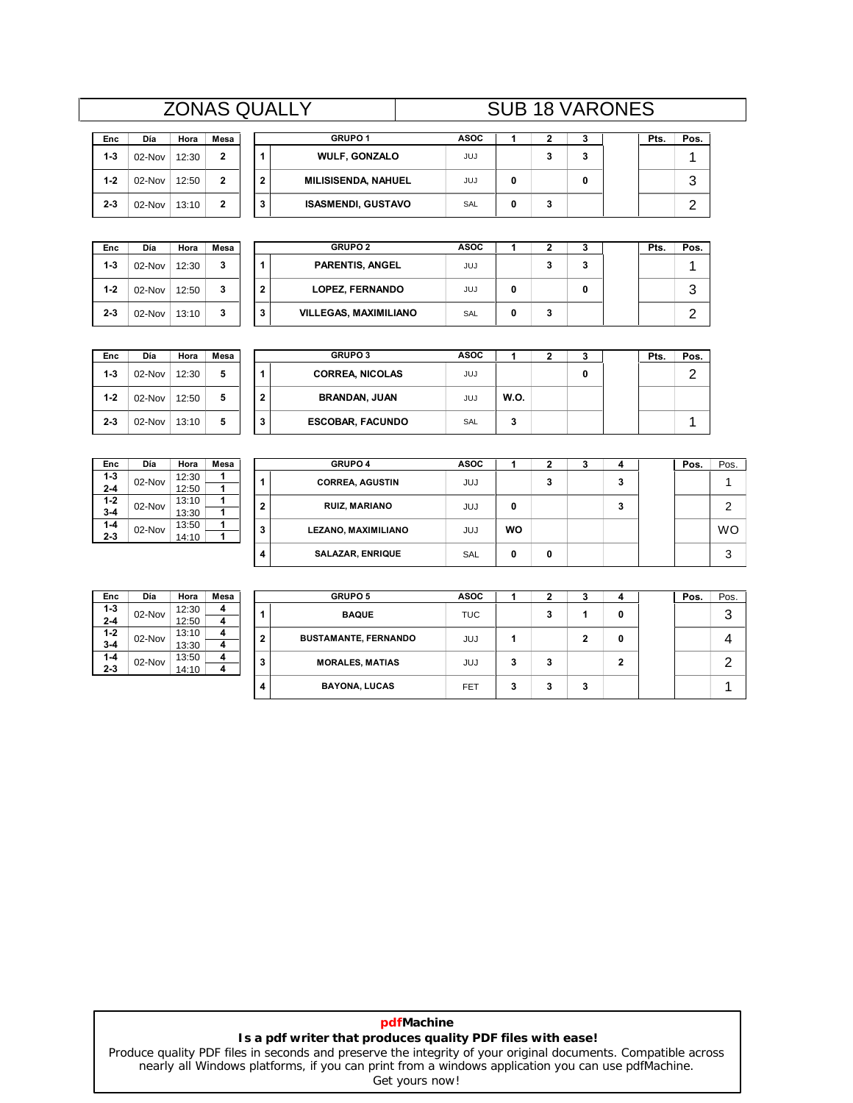## $ZONAS$  **QUALLY**

| Enc     | Día      | Hora  | Mesa |   |  |
|---------|----------|-------|------|---|--|
| $1 - 3$ | $02-Nov$ | 12:30 | 2    |   |  |
| $1 - 2$ | $02-Nov$ | 12:50 | 2    | 2 |  |
| $2 - 3$ | $02-Nov$ | 13:10 | 2    | 3 |  |

|       |      |   | ZONAS QUALLY               |             | <b>SUB 18 VARONES</b> |   |      |      |  |
|-------|------|---|----------------------------|-------------|-----------------------|---|------|------|--|
| Hora  | Mesa |   | <b>GRUPO 1</b>             | <b>ASOC</b> |                       |   | Pts. | Pos. |  |
| 12:30 | 2    |   | <b>WULF, GONZALO</b>       | JUJ         |                       | 3 |      |      |  |
| 12:50 | 2    | 2 | <b>MILISISENDA, NAHUEL</b> | JUJ         |                       | 0 |      | າ    |  |
| 13:10 | 2    | 3 | <b>ISASMENDI, GUSTAVO</b>  | SAL         |                       |   |      | ◠    |  |

| Enc     | Día    | Hora  | Mesa |
|---------|--------|-------|------|
| 1-3     | 02-Nov | 12:30 | 3    |
| $1 - 2$ | 02-Nov | 12:50 | 3    |
| $2 - 3$ | 02-Nov | 13:10 | 3    |

| Día    | Hora  | Mesa |   | <b>GRUPO 2</b>               | ASOC |   | J. | Pts. | Pos.   |
|--------|-------|------|---|------------------------------|------|---|----|------|--------|
| 02-Nov | 12:30 | 3    |   | <b>PARENTIS, ANGEL</b>       | JUJ  |   | 3  |      |        |
| 02-Nov | 12:50 | 3    | 2 | <b>LOPEZ, FERNANDO</b>       | JUJ  | 0 | 0  |      | ◠<br>ັ |
| 02-Nov | 13:10 | 3    | 3 | <b>VILLEGAS, MAXIMILIANO</b> | SAL  | 0 |    |      |        |

| <b>Enc</b> | Día    | Hora  | Mesa |   | <b>GRUPO 3</b>          | <b>ASOC</b> |      | ∍ | ٠J | Pts. | Pos. |
|------------|--------|-------|------|---|-------------------------|-------------|------|---|----|------|------|
| $1 - 3$    | 02-Nov | 12:30 | 5    |   | <b>CORREA, NICOLAS</b>  | JUJ         |      |   | 0  |      | ◠    |
| $1 - 2$    | 02-Nov | 12:50 | 5    | 2 | <b>BRANDAN, JUAN</b>    | JUJ         | W.O. |   |    |      |      |
| $2 - 3$    | 02-Nov | 13:10 | 5    | 3 | <b>ESCOBAR, FACUNDO</b> | SAL         | 3    |   |    |      |      |

| Enc     | Día      | Hora  | Mesa |   |  |
|---------|----------|-------|------|---|--|
| $1 - 3$ | $02-Nov$ | 12:30 |      |   |  |
| $2 - 4$ |          | 12:50 |      |   |  |
| $1 - 2$ | $02-Nov$ | 13:10 |      | 2 |  |
| $3 - 4$ |          | 13:30 |      |   |  |
| $1 - 4$ | $02-Nov$ | 13:50 |      | 3 |  |
| $2 - 3$ |          | 14:10 |      |   |  |
|         |          |       |      |   |  |

| Enc     | Día    | Hora  | Mesa |  |                     | <b>GRUPO 4</b>          | <b>ASOC</b> |   | n | 3 |   | Pos.      | Pos. |
|---------|--------|-------|------|--|---------------------|-------------------------|-------------|---|---|---|---|-----------|------|
| $1 - 3$ | 02-Nov | 12:30 |      |  |                     | <b>CORREA, AGUSTIN</b>  | <b>JUJ</b>  |   | 3 |   | 3 |           |      |
| 2-4     |        | 12:50 |      |  |                     |                         |             |   |   |   |   |           |      |
| 1-2     | 02-Nov | 13:10 |      |  | $\mathbf{2}$        | <b>RUIZ, MARIANO</b>    | JUJ         | 0 |   |   | 3 |           | 2    |
| $3 - 4$ |        | 13:30 |      |  |                     |                         |             |   |   |   |   |           |      |
| $1 - 4$ | 02-Nov | 13:50 | 3    |  | LEZANO, MAXIMILIANO | JUJ                     | <b>WO</b>   |   |   |   |   | <b>WO</b> |      |
| 2-3     |        | 14:10 |      |  |                     |                         |             |   |   |   |   |           |      |
|         |        |       |      |  | 4                   | <b>SALAZAR, ENRIQUE</b> | <b>SAL</b>  | 0 | 0 |   |   |           | 3    |

| Enc     | Día      | Hora  | Mesa |
|---------|----------|-------|------|
| $1 - 3$ | $02-Nov$ | 12:30 | 4    |
| $2 - 4$ |          | 12:50 | 4    |
| $1 - 2$ | $02-Nov$ | 13:10 | 4    |
| $3 - 4$ |          | 13:30 | 4    |
| $1 - 4$ | 02-Nov   | 13:50 | 4    |
| $2 - 3$ |          | 14:10 |      |

| Enc     | Día    | Hora  | Mesa |   | <b>GRUPO 5</b>              | <b>ASOC</b> |   |                |   |              | Pos. | Pos. |
|---------|--------|-------|------|---|-----------------------------|-------------|---|----------------|---|--------------|------|------|
| 1-3     | 02-Nov | 12:30 | 4    |   | <b>BAQUE</b>                | <b>TUC</b>  |   | 3              |   | 0            |      | 3    |
| 2-4     |        | 12:50 | 4    |   |                             |             |   |                |   |              |      |      |
| $1-2$   | 02-Nov | 13:10 | 4    | 2 | <b>BUSTAMANTE, FERNANDO</b> | <b>JUJ</b>  |   |                | ົ | 0            |      |      |
| 3-4     |        | 13:30 | 4    |   |                             |             |   |                |   |              |      | 4    |
| $1 - 4$ | 02-Nov | 13:50 | 4    | 3 | <b>MORALES, MATIAS</b>      | <b>JUJ</b>  | 3 | <u>.</u><br>J. |   | $\mathbf{2}$ |      | ◠    |
| $2 - 3$ |        | 14:10 | 4    |   |                             |             |   |                |   |              |      | ∸    |
|         |        |       |      | 4 | <b>BAYONA, LUCAS</b>        | FET         | 3 | ٠J             | 3 |              |      |      |

## **pdfMachine Is a pdf writer that produces quality PDF files with ease!**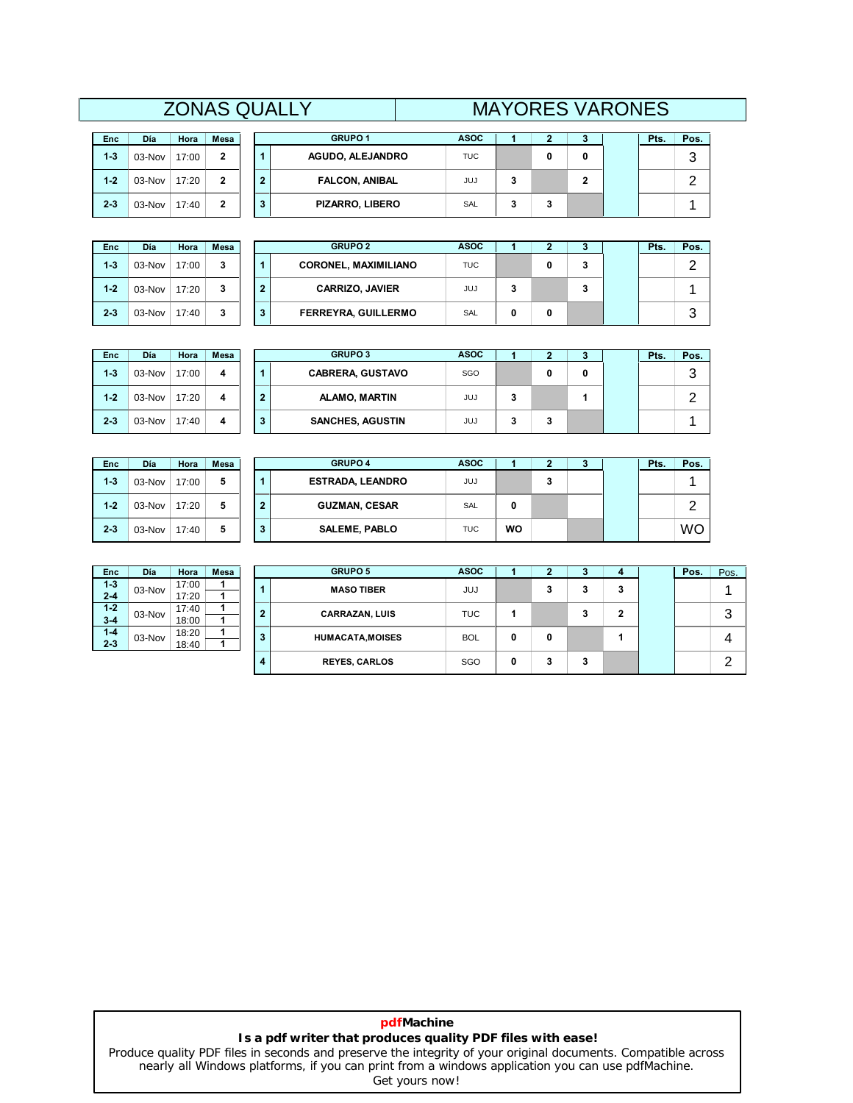## **ZONAS QUALLY**

| Enc     | Día    | Hora  | Mesa |
|---------|--------|-------|------|
| $1-3$   | 03-Nov | 17:00 | 2    |
| $1 - 2$ | 03-Nov | 17:20 | 2    |
| $2 - 3$ | 03-Nov | 17:40 | 2    |

|        |       |      |   | <b>ZONAS QUALLY</b>     |             | <b>MAYORES VARONES</b> |              |      |          |  |
|--------|-------|------|---|-------------------------|-------------|------------------------|--------------|------|----------|--|
| Día    | Hora  | Mesa |   | <b>GRUPO 1</b>          | <b>ASOC</b> |                        |              | Pts. | Pos.     |  |
| 03-Nov | 17:00 | 2    |   | <b>AGUDO, ALEJANDRO</b> | <b>TUC</b>  |                        | 0            |      | <u>ົ</u> |  |
| 03-Nov | 17:20 | 2    | 2 | <b>FALCON, ANIBAL</b>   | JUJ         |                        | $\mathbf{2}$ |      | ົ        |  |
| 03-Nov | 17:40 | 2    | 3 | <b>PIZARRO, LIBERO</b>  | SAL         |                        |              |      |          |  |

| Enc     | Día      | Hora  | Mesa |
|---------|----------|-------|------|
| $1-3$   | 03-Nov   | 17:00 | 3    |
| $1 - 2$ | $03-Nov$ | 17:20 | 3    |
| $2 - 3$ | 03-Nov   | 17:40 | 3    |

| Día    | Hora  | <b>Mesa</b> |   | <b>GRUPO 2</b>              | <b>ASOC</b> |  | J. | Pts. | Pos.   |
|--------|-------|-------------|---|-----------------------------|-------------|--|----|------|--------|
| 03-Nov | 17:00 | 3           |   | <b>CORONEL, MAXIMILIANO</b> | <b>TUC</b>  |  | 3  |      | ົ      |
| 03-Nov | 17:20 | 3           | 2 | <b>CARRIZO, JAVIER</b>      | JUJ         |  | 3  |      |        |
| 03-Nov | 17:40 | 3           | 3 | <b>FERREYRA, GUILLERMO</b>  | SAL         |  |    |      | ົ<br>w |

| Enc     | Día    | Hora  | Mesa |   | <b>GRUPO 3</b>          | <b>ASOC</b> |   | 2 | з | <b>Pts</b> | Pos. |
|---------|--------|-------|------|---|-------------------------|-------------|---|---|---|------------|------|
| $1 - 3$ | 03-Nov | 17:00 | 4    |   | <b>CABRERA, GUSTAVO</b> | SGO         |   | 0 | 0 |            | 3    |
| $1 - 2$ | 03-Nov | 17:20 | 4    | 2 | <b>ALAMO, MARTIN</b>    | <b>JUJ</b>  | 3 |   |   |            | ົ    |
| $2 - 3$ | 03-Nov | 17:40 | 4    | 3 | <b>SANCHES, AGUSTIN</b> | JUJ         | 3 | з |   |            |      |

| <b>Enc</b> | Día    | Hora  | <b>Mesa</b> |    | <b>GRUPO 4</b>          | <b>ASOC</b> |           |    | - 1 | Pts. | Pos. |
|------------|--------|-------|-------------|----|-------------------------|-------------|-----------|----|-----|------|------|
| $1 - 3$    | 03-Nov | 17:00 | 5           |    | <b>ESTRADA, LEANDRO</b> | <b>JUJ</b>  |           | J. |     |      |      |
| $1 - 2$    | 03-Nov | 17:20 | 5           | ◠  | <b>GUZMAN, CESAR</b>    | SAL         | 0         |    |     |      | ົ    |
| $2 - 3$    | 03-Nov | 17:40 | 5           | -3 | <b>SALEME, PABLO</b>    | <b>TUC</b>  | <b>WO</b> |    |     |      | WO   |

| <b>Enc</b> | Día    | Hora  | <b>Mesa</b> |                | <b>GRUPO 5</b>          | <b>ASOC</b> |   |   | J. | 4 | Pos. | Pos. |
|------------|--------|-------|-------------|----------------|-------------------------|-------------|---|---|----|---|------|------|
| $1 - 3$    | 03-Nov | 17:00 |             |                | <b>MASO TIBER</b>       | <b>JUJ</b>  |   |   |    | 3 |      |      |
| $2 - 4$    |        | 17:20 |             |                |                         |             |   |   | J. |   |      |      |
| $1 - 2$    | 03-Nov | 17:40 |             | $\overline{2}$ | <b>CARRAZAN, LUIS</b>   | <b>TUC</b>  |   |   | J. | 2 |      | 3    |
| $3 - 4$    |        | 18:00 |             |                |                         |             |   |   |    |   |      |      |
| $1 - 4$    | 03-Nov | 18:20 |             | 3              | <b>HUMACATA, MOISES</b> | <b>BOL</b>  | 0 | 0 |    |   |      | 4    |
| $2 - 3$    |        | 18:40 |             |                |                         |             |   |   |    |   |      |      |
|            |        |       |             | 4              | <b>REYES, CARLOS</b>    | <b>SGO</b>  | 0 |   | 3  |   |      | ◠    |

## **pdfMachine Is a pdf writer that produces quality PDF files with ease!**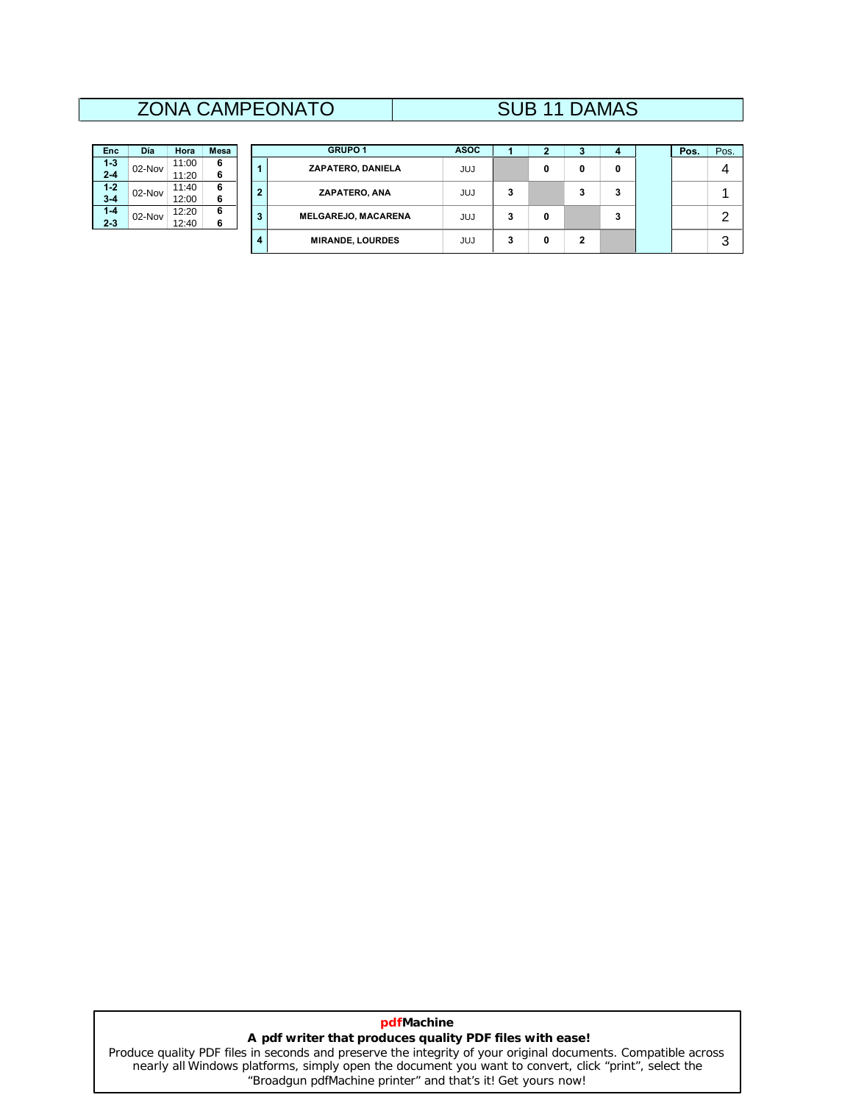## ZONA CAMPEONATO | SUB 11 DAMAS

| Día | Hora                       | <b>Mesa</b> |                     |
|-----|----------------------------|-------------|---------------------|
|     | 11:00                      | 6           |                     |
|     | 11:20                      | 6           |                     |
|     | 11.40                      | 6           |                     |
|     | 12:00                      | 6           |                     |
|     | 12:20                      | 6           |                     |
|     | 12:40                      | 6           |                     |
|     | 02-Nov<br>02-Nov<br>02-Nov |             | $\overline{2}$<br>3 |

| Enc                | Día    | Hora           | <b>Mesa</b> |   | <b>GRUPO 1</b>             | <b>ASOC</b> |   |   | J.     |        | Pos. | Pos. |
|--------------------|--------|----------------|-------------|---|----------------------------|-------------|---|---|--------|--------|------|------|
| $1 - 3$<br>$2 - 4$ | 02-Nov | 11:00<br>11:20 | 6<br>6      |   | ZAPATERO, DANIELA          | <b>JUJ</b>  |   |   | 0      | 0      |      | 4    |
| $1-2$<br>$3 - 4$   | 02-Nov | 11:40<br>12:00 | 6<br>6      | 2 | ZAPATERO, ANA              | JUJ         | 3 |   | ◠<br>c | 3      |      |      |
| $1 - 4$<br>$2 - 3$ | 02-Nov | 12:20<br>12:40 | 6<br>6      | 3 | <b>MELGAREJO, MACARENA</b> | JUJ         | 3 | 0 |        | ◠<br>a |      | ◠    |
|                    |        |                |             | 4 | <b>MIRANDE, LOURDES</b>    | JUJ         | 3 |   | ◠      |        |      | 3    |

## **pdfMachine A pdf writer that produces quality PDF files with ease!**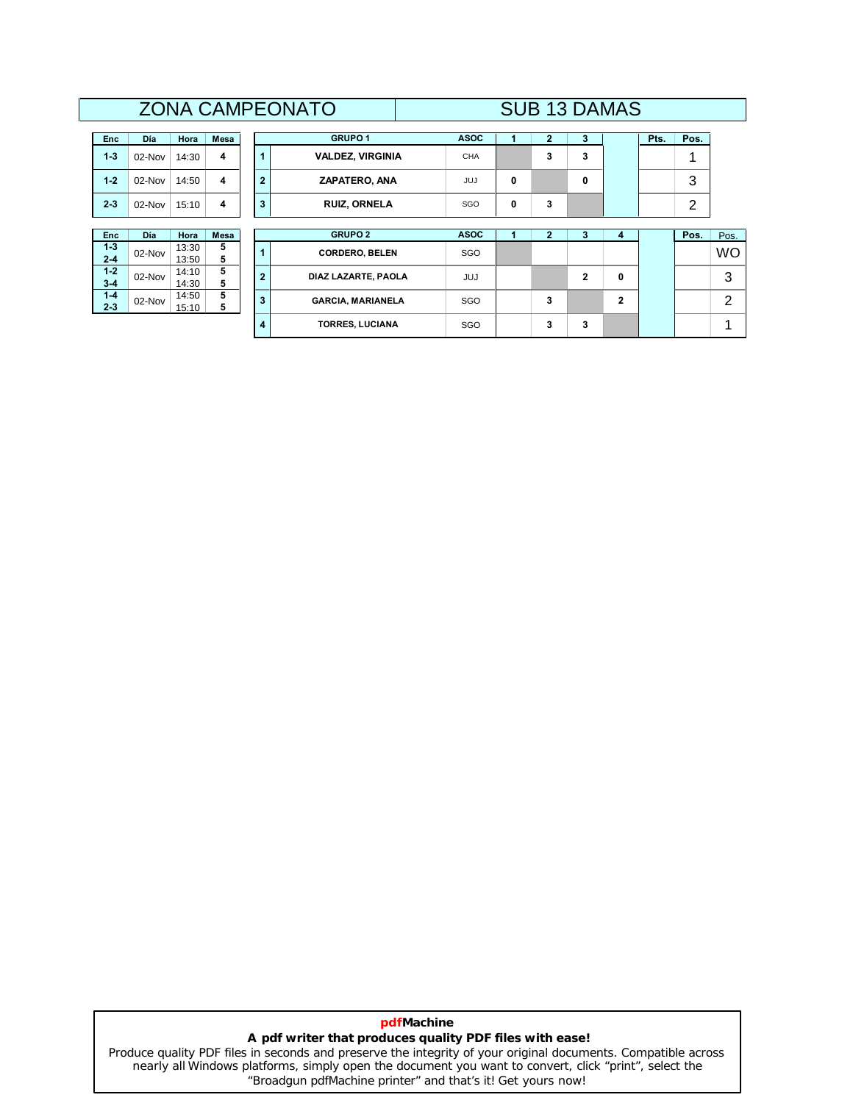## **Dia Hora Mesa 1**<br> **Dia Hora Mesa 1 I**<br>**BRUPO 1**

| Enc     | Día    | Hora  | Mesa |
|---------|--------|-------|------|
| $1-3$   | 02-Nov | 14:30 | 4    |
| $1 - 2$ | 02-Nov | 14:50 | 4    |
| $2 - 3$ | 02-Nov | 15:10 | 4    |

| Enc     | Día      | Hora  | <b>Mesa</b> |   |  |
|---------|----------|-------|-------------|---|--|
| $1 - 3$ | $02-Nov$ | 13:30 | 5           |   |  |
| $2 - 4$ |          | 13:50 | 5           |   |  |
| $1 - 2$ | $02-Nov$ | 14:10 | 5           | 2 |  |
| $3 - 4$ |          | 14:30 | 5           |   |  |
| $1 - 4$ | $02-Nov$ | 14:50 | 5           | 3 |  |
| $2 - 3$ |          | 15:10 | 5           |   |  |

|                    |            |                |             |   | <b><i>LUINA UAINIFEUINATU</i></b> |             |   |                | OUD 10 DAIVIAO |              |      |      |           |
|--------------------|------------|----------------|-------------|---|-----------------------------------|-------------|---|----------------|----------------|--------------|------|------|-----------|
| Enc                | <b>Día</b> | Hora           | <b>Mesa</b> |   | <b>GRUPO 1</b>                    | <b>ASOC</b> |   | $\overline{2}$ | 3              |              | Pts. | Pos. |           |
| $1 - 3$            | 02-Nov     | 14:30          | 4           |   | <b>VALDEZ, VIRGINIA</b>           | <b>CHA</b>  |   | 3              | 3              |              |      |      |           |
| $1-2$              | 02-Nov     | 14:50          | 4           | 2 | <b>ZAPATERO, ANA</b>              | <b>JUJ</b>  | 0 |                | 0              |              |      | 3    |           |
| $2 - 3$            | 02-Nov     | 15:10          | 4           | 3 | <b>RUIZ, ORNELA</b>               | SGO         | 0 | 3              |                |              |      | 2    |           |
| <b>Enc</b>         | <b>Día</b> | Hora           | <b>Mesa</b> |   | <b>GRUPO 2</b>                    | <b>ASOC</b> |   | 2              | 3              |              |      | Pos. | Pos.      |
| $1-3$<br>$2 - 4$   | 02-Nov     | 13:30<br>13:50 | 5<br>5      |   | <b>CORDERO, BELEN</b>             | <b>SGO</b>  |   |                |                | 4            |      |      | <b>WO</b> |
| $1-2$<br>$3 - 4$   | 02-Nov     | 14:10<br>14:30 | 5<br>5      | 2 | DIAZ LAZARTE, PAOLA               | <b>JUJ</b>  |   |                | $\mathbf{2}$   | 0            |      |      | 3         |
| $1 - 4$<br>$2 - 3$ | 02-Nov     | 14:50<br>15:10 | 5<br>5      | 3 | <b>GARCIA, MARIANELA</b>          | <b>SGO</b>  |   | 3              |                | $\mathbf{2}$ |      |      | 2         |
|                    |            |                |             | 4 | <b>TORRES, LUCIANA</b>            | SGO         |   | 3              | 3              |              |      |      | и         |

## **pdfMachine A pdf writer that produces quality PDF files with ease!**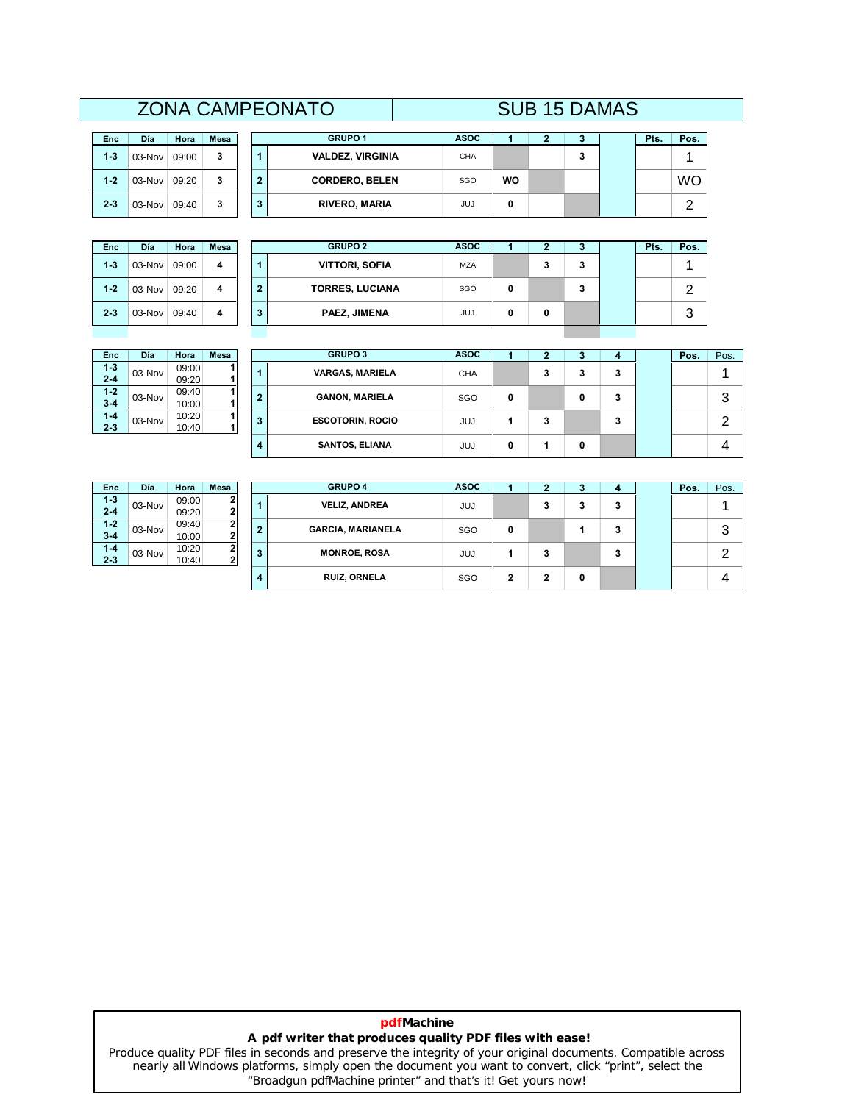## $\overline{SUB}$  15 DAMAS

| Enc     | Día      | Hora  | Mesa |
|---------|----------|-------|------|
| $1-3$   | 03-Nov   | 09:00 | 3    |
| $1 - 2$ | $03-Nov$ | 09:20 | 3    |
| $2 - 3$ | $03-Nov$ | 09:40 | 3    |

|        | <b>ZONA CAMPEONATO</b> |             |  |   |                         | <b>SUB 15 DAMAS</b> |             |           |  |   |  |      |           |  |  |  |  |  |
|--------|------------------------|-------------|--|---|-------------------------|---------------------|-------------|-----------|--|---|--|------|-----------|--|--|--|--|--|
| Día    | Hora                   | <b>Mesa</b> |  |   | <b>GRUPO 1</b>          |                     | <b>ASOC</b> |           |  |   |  | Pts. | Pos.      |  |  |  |  |  |
| 03-Nov | 09:00                  | 3           |  |   | <b>VALDEZ, VIRGINIA</b> |                     | CHA         |           |  | 3 |  |      |           |  |  |  |  |  |
| 03-Nov | 09:20                  | 3           |  | , | <b>CORDERO, BELEN</b>   |                     | SGO         | <b>WO</b> |  |   |  |      | <b>WO</b> |  |  |  |  |  |
| 03-Nov | 09:40                  | 3           |  | з | <b>RIVERO, MARIA</b>    |                     | JUJ         |           |  |   |  |      | ົ         |  |  |  |  |  |

| Enc     | Día    | Hora  | Mesa |
|---------|--------|-------|------|
| $1-3$   | 03-Nov | 09:00 | 4    |
| $1 - 2$ | 03-Nov | 09:20 | 4    |
| $2-3$   | 03-Nov | 09:40 | 4    |

| Día    | Hora  | Mesa |   | <b>GRUPO 2</b>         | <b>ASOC</b> |   |   | J. | Pts. | Pos.   |
|--------|-------|------|---|------------------------|-------------|---|---|----|------|--------|
| 03-Nov | 09:00 | 4    |   | <b>VITTORI, SOFIA</b>  | <b>MZA</b>  |   |   | 3  |      |        |
| 03-Nov | 09:20 | 4    | 2 | <b>TORRES, LUCIANA</b> | SGO         | 0 |   | 3  |      | o      |
| 03-Nov | 09:40 | 4    | 3 | PAEZ, JIMENA           | JUJ         | 0 | 0 |    |      | ົ<br>J |

| Enc     | Día      | Hora  | <b>Mesa</b> |              |  |
|---------|----------|-------|-------------|--------------|--|
| $1 - 3$ | $03-Nov$ | 09:00 |             |              |  |
| $2 - 4$ |          | 09:20 |             |              |  |
| $1 - 2$ | $03-Nov$ | 09:40 |             | $\mathbf{2}$ |  |
| $3 - 4$ |          | 10:00 |             |              |  |
| $1 - 4$ | $03-Nov$ | 10:20 |             | 3            |  |
| $2 - 3$ |          | 10:40 |             |              |  |
|         |          |       |             |              |  |

| Enc                | Día    | Hora           | <b>Mesa</b> |   |   | <b>GRUPO 3</b>          | <b>ASOC</b> |   |    |    |        | Pos. | Pos. |
|--------------------|--------|----------------|-------------|---|---|-------------------------|-------------|---|----|----|--------|------|------|
| $1 - 3$<br>$2 - 4$ | 03-Nov | 09:00<br>09:20 |             |   |   | <b>VARGAS, MARIELA</b>  | <b>CHA</b>  |   |    | J. | 3      |      |      |
| $1 - 2$<br>$3 - 4$ | 03-Nov | 09:40<br>10:00 |             | ٠ |   | <b>GANON, MARIELA</b>   | SGO         | 0 |    | 0  | ີ<br>a |      | 3    |
| $1 - 4$<br>$2 - 3$ | 03-Nov | 10:20<br>10:40 |             | 3 |   | <b>ESCOTORIN, ROCIO</b> | JUJ         |   | J. |    | ີ<br>a |      | ⌒    |
|                    |        |                |             |   | 4 | <b>SANTOS, ELIANA</b>   | JUJ         | 0 |    | 0  |        |      | 4    |

| Enc     | Día      | Hora  | <b>Mesa</b>    |
|---------|----------|-------|----------------|
| $1 - 3$ | 03-Nov   | 09:00 | $\mathbf{2}$   |
| $2 - 4$ |          | 09:20 | 2              |
| $1 - 2$ | 03-Nov   | 09:40 | $\overline{2}$ |
| $3 - 4$ |          | 10:00 | $\mathbf{2}$   |
| $1 - 4$ | $03-Nov$ | 10:20 | $\overline{2}$ |
| $2 - 3$ |          | 10:40 | 21             |

| Enc                | Día    | Hora           | <b>Mesa</b>                      |   | <b>GRUPO 4</b>           | <b>ASOC</b> |   | ◡  |        | Pos. | Pos.   |
|--------------------|--------|----------------|----------------------------------|---|--------------------------|-------------|---|----|--------|------|--------|
| $1-3$<br>$2 - 4$   | 03-Nov | 09:00<br>09:20 | $\mathbf{a}$                     |   | <b>VELIZ, ANDREA</b>     | <b>JUJ</b>  |   | J. | 3      |      |        |
| $1-2$<br>$3 - 4$   | 03-Nov | 09:40<br>10:00 | $\overline{2}$<br>$\overline{2}$ | 2 | <b>GARCIA, MARIANELA</b> | SGO         | 0 |    | 3      |      | 3      |
| $1 - 4$<br>$2 - 3$ | 03-Nov | 10:20<br>10:40 | $\overline{2}$<br>$\mathbf{2}$   | 3 | <b>MONROE, ROSA</b>      | JUJ         |   |    | ີ<br>a |      | ◠<br>▃ |
|                    |        |                |                                  | 4 | <b>RUIZ, ORNELA</b>      | SGO         | 2 | 0  |        |      | 4      |

## **pdfMachine A pdf writer that produces quality PDF files with ease!**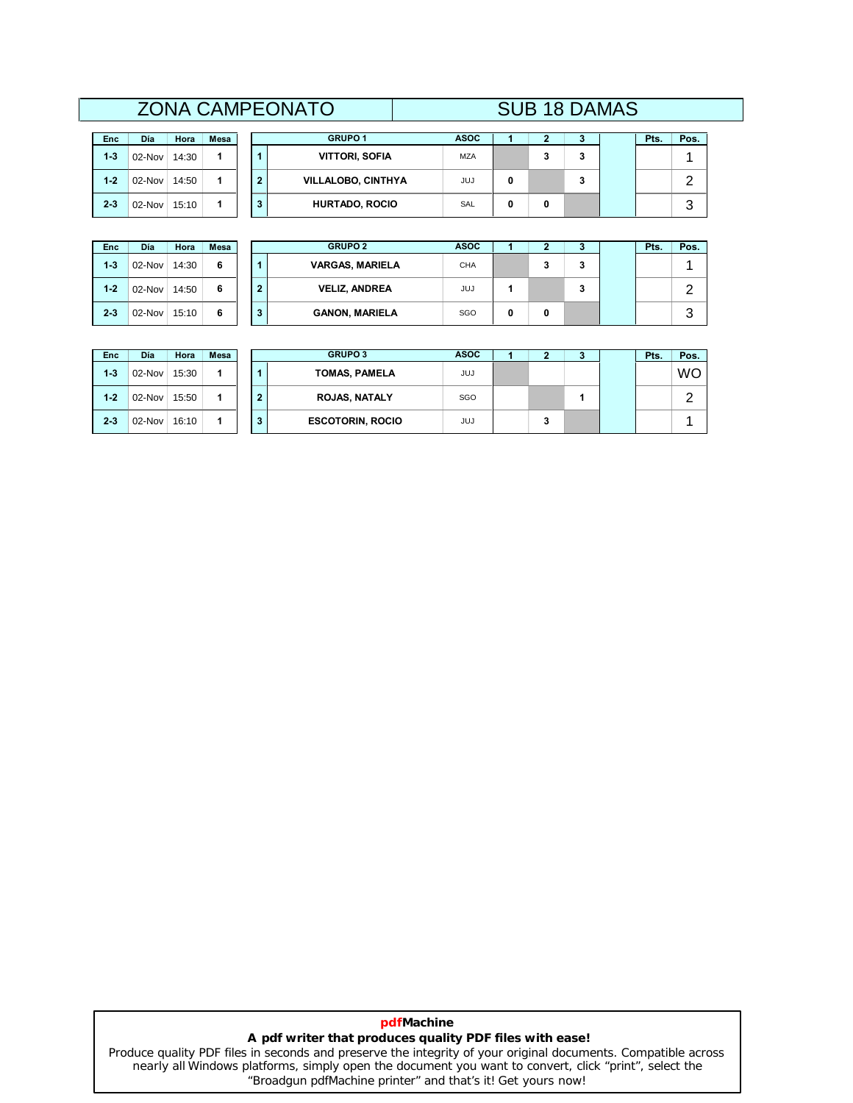## $\overline{SUB}$  18 DAMAS

| Enc     | Día      | Hora  | Mesa |             |  |
|---------|----------|-------|------|-------------|--|
| $1 - 3$ | 02-Nov   | 14:30 |      |             |  |
| $1 - 2$ | 02-Nov   | 14:50 |      | $\mathbf 2$ |  |
| $2 - 3$ | $02-Nov$ | 15:10 |      | 3           |  |

|        |       |             |   | <b>ZONA CAMPEONATO</b>    |             |   |   |   | <b>SUB 18 DAMAS</b> |      |      |  |
|--------|-------|-------------|---|---------------------------|-------------|---|---|---|---------------------|------|------|--|
| Día    | Hora  | <b>Mesa</b> |   | <b>GRUPO 1</b>            | <b>ASOC</b> |   |   |   |                     | Pts. | Pos. |  |
| 02-Nov | 14:30 |             |   | <b>VITTORI, SOFIA</b>     | <b>MZA</b>  |   |   | 3 |                     |      |      |  |
| 02-Nov | 14:50 |             | 2 | <b>VILLALOBO, CINTHYA</b> | JUJ         | 0 |   | 3 |                     |      | ⌒    |  |
| 02-Nov | 15:10 |             | 3 | <b>HURTADO, ROCIO</b>     | SAL         | 0 | 0 |   |                     |      | ≏    |  |

| Enc     | Día          | Hora  | Mesa |
|---------|--------------|-------|------|
| $1-3$   | 02-Nov       | 14:30 | 6    |
| $1 - 2$ | 02-Nov 14:50 |       | 6    |
| $2 - 3$ | 02-Nov       | 15:10 | 6    |

| Día    | Hora  | Mesa |   | <b>GRUPO 2</b>         | <b>ASOC</b> |   |   | J. | Pts. | Pos.   |
|--------|-------|------|---|------------------------|-------------|---|---|----|------|--------|
| 02-Nov | 14:30 | 6    |   | <b>VARGAS, MARIELA</b> | <b>CHA</b>  |   |   | 3  |      |        |
| 02-Nov | 14:50 | 6    | 2 | <b>VELIZ, ANDREA</b>   | <b>JUJ</b>  |   |   | 3  |      |        |
| 02-Nov | 15:10 | 6    | 3 | <b>GANON, MARIELA</b>  | SGO         | 0 | 0 |    |      | ົ<br>J |

| <b>Enc</b> | <b>Día</b> | Hora  | Mesa |   | <b>GRUPO 3</b>          | <b>ASOC</b> |    |  | Pts. | Pos. |
|------------|------------|-------|------|---|-------------------------|-------------|----|--|------|------|
| $1 - 3$    | 02-Nov     | 15:30 |      |   | TOMAS, PAMELA           | <b>JUJ</b>  |    |  |      | WO   |
| $1 - 2$    | $02$ -Nov  | 15:50 |      | 2 | <b>ROJAS, NATALY</b>    | SGO         |    |  |      | ົ    |
| $2 - 3$    | $02$ -Nov  | 16:10 |      | 3 | <b>ESCOTORIN, ROCIO</b> | <b>JUJ</b>  | ۰J |  |      |      |

## **pdfMachine A pdf writer that produces quality PDF files with ease!**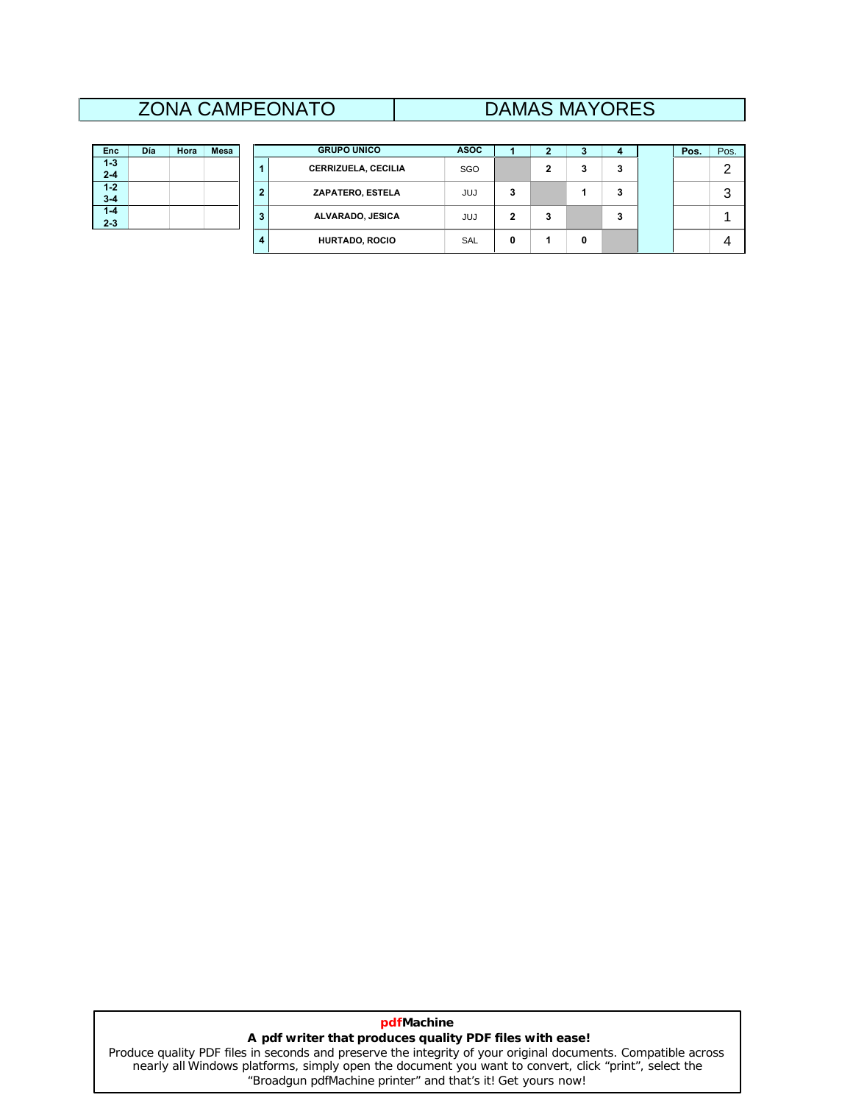## ZONA CAMPEONATO | DAMAS MAYORES

| <b>Enc</b> | Día | Hora | <b>Mesa</b> |
|------------|-----|------|-------------|
| $1 - 3$    |     |      |             |
| $2 - 4$    |     |      |             |
| $1 - 2$    |     |      |             |
| $3 - 4$    |     |      |             |
| $1 - 4$    |     |      |             |
| $2 - 3$    |     |      |             |

| Enc                | Día | Hora | <b>Mesa</b> |    | <b>GRUPO UNICO</b>      | <b>ASOC</b> |   |   |         |        | Pos. | Pos. |
|--------------------|-----|------|-------------|----|-------------------------|-------------|---|---|---------|--------|------|------|
| $1 - 3$<br>$2 - 4$ |     |      |             |    | CERRIZUELA, CECILIA     | SGO         |   | ≘ | ٠<br>-5 | 3      |      | ◠    |
| $1-2$<br>$3 - 4$   |     |      |             | ≘  | <b>ZAPATERO, ESTELA</b> | <b>JUJ</b>  | 3 |   |         | 3      |      | 3    |
| $1 - 4$<br>$2 - 3$ |     |      |             | 3  | ALVARADO, JESICA        | <b>JUJ</b>  | 2 | J |         | ◠<br>a |      |      |
|                    |     |      |             | л. | <b>HURTADO, ROCIO</b>   | <b>SAL</b>  | 0 |   | 0       |        |      | 4    |

## **pdfMachine A pdf writer that produces quality PDF files with ease!**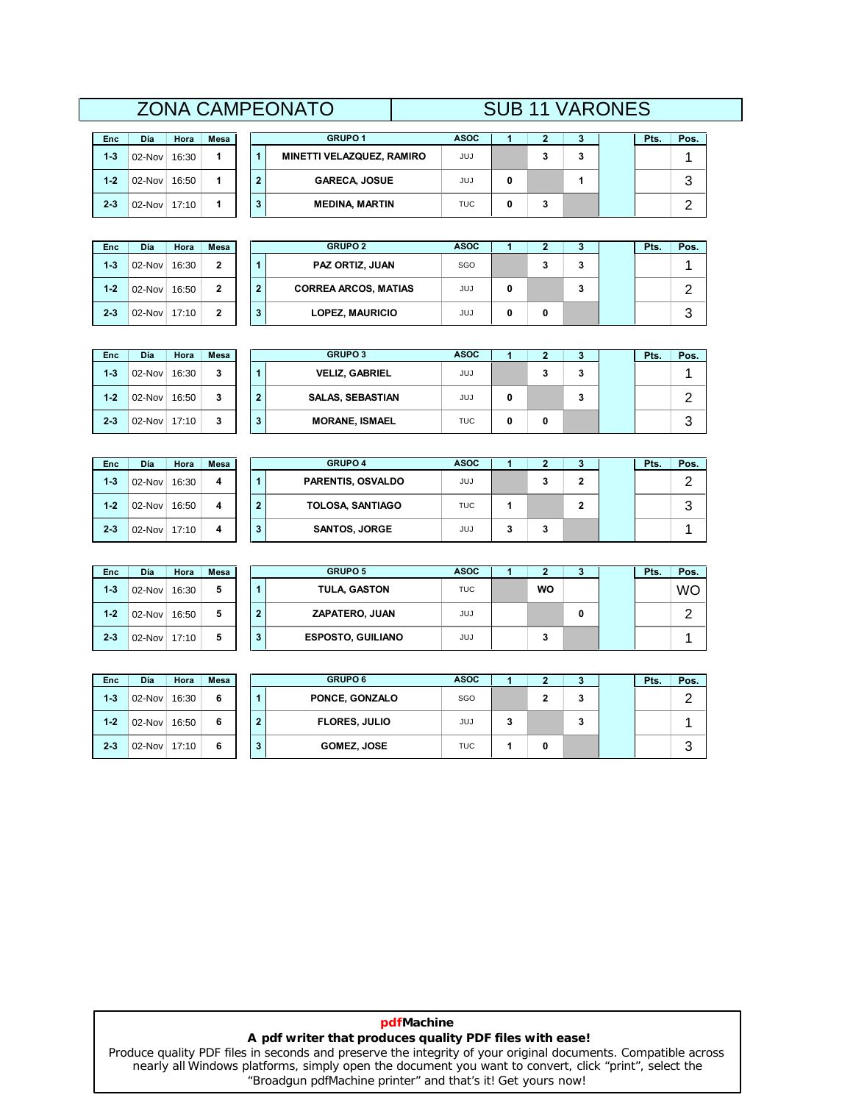## **2 2 11 VARONES**<br> **1 1 1 2 1 3 Pts. Pos.**

|         |           |       |      |              | LUINA UAINI LUINATU       |             | 00D |  |
|---------|-----------|-------|------|--------------|---------------------------|-------------|-----|--|
|         |           |       |      |              |                           |             |     |  |
| Enc     | Día       | Hora  | Mesa |              | <b>GRUPO 1</b>            | <b>ASOC</b> |     |  |
| $1 - 3$ | 02-Nov    | 16:30 |      |              | MINETTI VELAZQUEZ, RAMIRO | JUJ         |     |  |
| $1 - 2$ | $02-Nov$  | 16:50 |      | $\mathbf{2}$ | <b>GARECA, JOSUE</b>      | JUJ         |     |  |
| $2 - 3$ | $02$ -Nov | 17:10 |      | 3            | <b>MEDINA, MARTIN</b>     | <b>TUC</b>  | 0   |  |

|          |       |             |  | <b>ZONA CAMPEONATO</b>    |             |   |  | <b>SUB 11 VARONES</b> |      |      |  |
|----------|-------|-------------|--|---------------------------|-------------|---|--|-----------------------|------|------|--|
| Día      | Hora  | <b>Mesa</b> |  | <b>GRUPO 1</b>            | <b>ASOC</b> |   |  |                       | Pts. | Pos. |  |
| )2-Nov   | 16:30 |             |  | MINETTI VELAZQUEZ, RAMIRO | JUJ         |   |  |                       |      |      |  |
| $2$ -Nov | 16:50 |             |  | <b>GARECA, JOSUE</b>      | JUJ         | 0 |  |                       |      | っ    |  |
| 2-Nov    | 17:10 |             |  | <b>MEDINA, MARTIN</b>     | <b>TUC</b>  | 0 |  |                       |      | ◠    |  |

| Enc     | Día          | Hora  | Mesa |
|---------|--------------|-------|------|
| $1-3$   | 02-Nov 16:30 |       | 2    |
| $1 - 2$ | 02-Nov 16:50 |       | 2    |
| $2 - 3$ | 02-Nov       | 17:10 | 2    |

| <b>D</b> ía | Hora  | Mesa         |              | <b>GRUPO 2</b>              | <b>ASOC</b> |   | , | Pts. | Pos.   |
|-------------|-------|--------------|--------------|-----------------------------|-------------|---|---|------|--------|
| 02-Nov      | 16:30 | $\mathbf{2}$ |              | <b>PAZ ORTIZ, JUAN</b>      | SGO         |   | 3 |      |        |
| 02-Nov      | 16:50 | 2            | $\mathbf{2}$ | <b>CORREA ARCOS, MATIAS</b> | JUJ         | 0 | 3 |      |        |
| 02-Nov      | 17:10 | 2            | 3            | <b>LOPEZ, MAURICIO</b>      | JUJ         | 0 |   |      | ົ<br>u |

| <b>Enc</b> | Día       | Hora  | <b>Mesa</b> |   | <b>GRUPO 3</b>          | <b>ASOC</b> |   |   | 3 | Pts. | Pos. |
|------------|-----------|-------|-------------|---|-------------------------|-------------|---|---|---|------|------|
| $1 - 3$    | $02$ -Nov | 16:30 |             |   | <b>VELIZ, GABRIEL</b>   | JUJ         |   | Æ | 3 |      |      |
| $1 - 2$    | $02$ -Nov | 16:50 |             | 2 | <b>SALAS, SEBASTIAN</b> | JUJ         | 0 |   | 3 |      | ⌒    |
| $2 - 3$    | $02$ -Nov | 17:10 |             | 3 | <b>MORANE, ISMAEL</b>   | <b>TUC</b>  | 0 | 0 |   |      | 3    |

| <b>Enc</b> | <b>D</b> ía | Hora  | <b>Mesa</b> |   | <b>GRUPO 4</b>          | <b>ASOC</b> |         | 2 | 3 | Pts. | Pos.   |
|------------|-------------|-------|-------------|---|-------------------------|-------------|---------|---|---|------|--------|
| $1 - 3$    | $02$ -Nov   | 16:30 | 4           |   | PARENTIS, OSVALDO       | JUJ         |         | 3 | 2 |      | ⌒<br>c |
| $1 - 2$    | $02$ -Nov   | 16:50 | 4           | 2 | <b>TOLOSA, SANTIAGO</b> | <b>TUC</b>  |         |   | 2 |      | 3      |
| $2 - 3$    | $02$ -Nov   | 17:10 | 4           | 3 | <b>SANTOS, JORGE</b>    | JUJ         | ∍<br>J. | 3 |   |      |        |

| <b>Enc</b> | Día    | Hora  | <b>Mesa</b> |   | <b>GRUPO 5</b>           | <b>ASOC</b> |    |   | Pts. | Pos.      |
|------------|--------|-------|-------------|---|--------------------------|-------------|----|---|------|-----------|
| $1 - 3$    | 02-Nov | 16:30 | 5           |   | TULA, GASTON             | <b>TUC</b>  | WO |   |      | <b>WO</b> |
| $1 - 2$    | 02-Nov | 16:50 | 5           | 2 | ZAPATERO, JUAN           | <b>JUJ</b>  |    | 0 |      | ⌒<br>▃    |
| $2 - 3$    | 02-Nov | 17:10 | 5           | 3 | <b>ESPOSTO, GUILIANO</b> | <b>JUJ</b>  | 3  |   |      |           |

| Enc.    | <b>D</b> ía  | Hora  | <b>Mesa</b> |              | <b>GRUPO 6</b>     | <b>ASOC</b> |   | ▴ | J. | Pts. | Pos. |
|---------|--------------|-------|-------------|--------------|--------------------|-------------|---|---|----|------|------|
| $1 - 3$ | 02-Nov       | 16:30 | 6           |              | PONCE, GONZALO     | SGO         |   | 2 | 3  |      | ◠    |
| $1 - 2$ | $02$ -Nov    | 16:50 | 6           | $\mathbf{2}$ | FLORES, JULIO      | JUJ         | 3 |   | 3  |      |      |
| $2 - 3$ | 02-Nov 17:10 |       | 6           | 3            | <b>GOMEZ, JOSE</b> | <b>TUC</b>  |   | 0 |    |      | 3    |

## **pdfMachine A pdf writer that produces quality PDF files with ease!**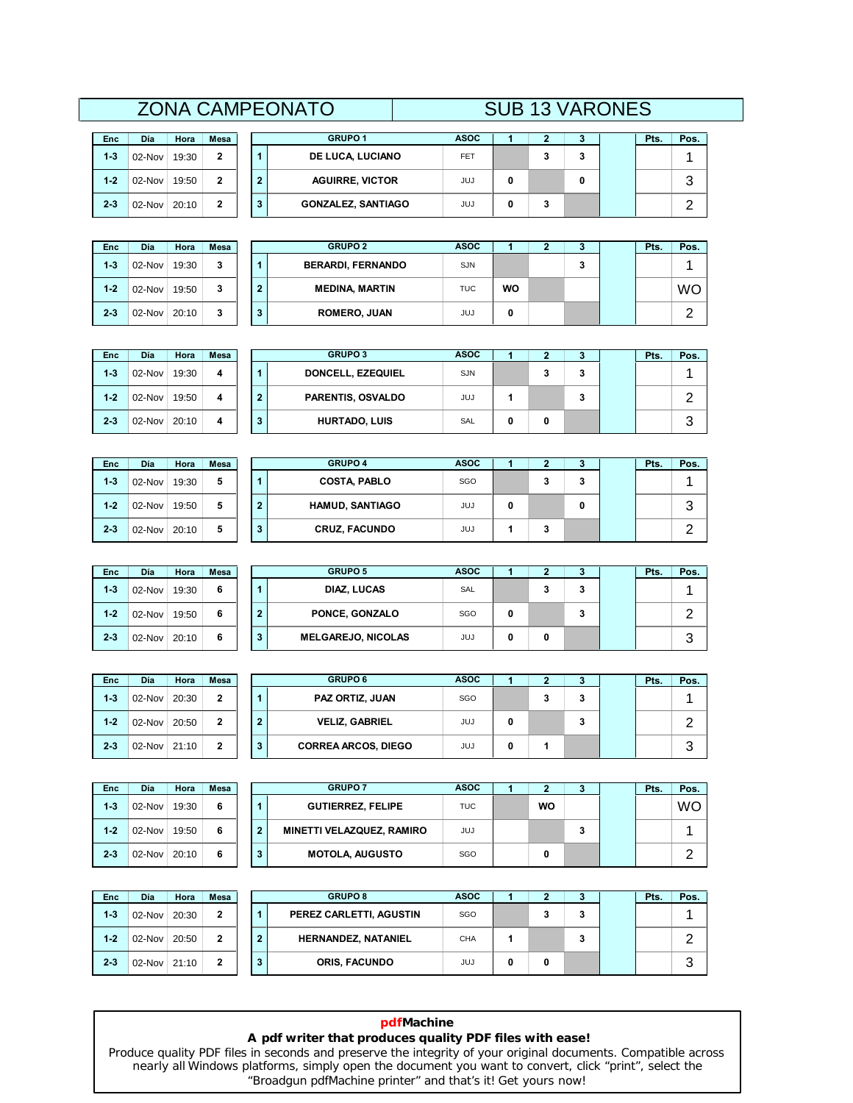## **2 3 PHS PHS**

| Enc     | Día      | Hora  | Mesa |   |  |
|---------|----------|-------|------|---|--|
| $1 - 3$ | $02-Nov$ | 19:30 | 2    |   |  |
| $1 - 2$ | $02-Nov$ | 19:50 | 2    | 2 |  |
| $2 - 3$ | $02-Nov$ | 20:10 | 2    | 3 |  |

|        |       |             |   | <b>ZONA CAMPEONATO</b>    |             | <b>SUB 13 VARONES</b> |   |      |      |  |
|--------|-------|-------------|---|---------------------------|-------------|-----------------------|---|------|------|--|
| Día    | Hora  | <b>Mesa</b> |   | <b>GRUPO 1</b>            | <b>ASOC</b> |                       |   | Pts. | Pos. |  |
| 02-Nov | 19:30 | 2           |   | <b>DE LUCA, LUCIANO</b>   | FET         |                       | 3 |      |      |  |
| 02-Nov | 19:50 | 2           | 2 | <b>AGUIRRE, VICTOR</b>    | JUJ         | 0                     | 0 |      | っ    |  |
| 02-Nov | 20:10 |             | 3 | <b>GONZALEZ, SANTIAGO</b> | JUJ         | 0                     |   |      | ົ    |  |

| Enc     | Día      | Hora  | Mesa |
|---------|----------|-------|------|
| $1-3$   | $02-Nov$ | 19:30 | 3    |
| $1 - 2$ | $02-Nov$ | 19:50 | 3    |
| $2 - 3$ | 02-Nov   | 20:10 | 3    |

| Día    | Hora  | <b>Mesa</b> |   | <b>GRUPO 2</b>           | <b>ASOC</b> |    |   | Pts. | Pos. |
|--------|-------|-------------|---|--------------------------|-------------|----|---|------|------|
| 02-Nov | 19:30 | 3           |   | <b>BERARDI, FERNANDO</b> | <b>SJN</b>  |    | 3 |      |      |
| 02-Nov | 19:50 | 3           | ົ | <b>MEDINA, MARTIN</b>    | <b>TUC</b>  | WO |   |      | WO   |
| 02-Nov | 20:10 | 3           | 3 | <b>ROMERO, JUAN</b>      | JUJ         |    |   |      | ີ    |

| <b>Enc</b> | Día       | Hora  | Mesa |              | <b>GRUPO 3</b>       | <b>ASOC</b> |   |         | 3 | Pts. | Pos. |
|------------|-----------|-------|------|--------------|----------------------|-------------|---|---------|---|------|------|
| $1 - 3$    | 02-Nov    | 19:30 | 4    |              | DONCELL, EZEQUIEL    | <b>SJN</b>  |   | ۰<br>J. | 3 |      |      |
| $1 - 2$    | 02-Nov    | 19:50 | 4    | $\mathbf{2}$ | PARENTIS, OSVALDO    | JUJ         |   |         | 3 |      | ົ    |
| $2 - 3$    | $02$ -Nov | 20:10 | 4    | 3            | <b>HURTADO, LUIS</b> | SAL         | 0 | 0       |   |      | 3    |

| <b>Enc</b> | <b>Día</b> | Hora  | Mesa |         | <b>GRUPO 4</b>         | <b>ASOC</b> |   | 2 | 3 | Pts. | Pos. |
|------------|------------|-------|------|---------|------------------------|-------------|---|---|---|------|------|
| $1 - 3$    | 02-Nov     | 19:30 | 5    |         | <b>COSTA, PABLO</b>    | SGO         |   | 3 | 3 |      |      |
| $1 - 2$    | 02-Nov     | 19:50 | 5    | ,       | <b>HAMUD, SANTIAGO</b> | <b>JUJ</b>  | 0 |   | 0 |      | 3    |
| $2 - 3$    | 02-Nov     | 20:10 | 5    | ,<br>J. | <b>CRUZ, FACUNDO</b>   | <b>JUJ</b>  |   | 3 |   |      | ົ    |

| <b>Enc</b> | Día    | Hora  | <b>Mesa</b> |   | <b>GRUPO 5</b>            | <b>ASOC</b> |   | ∠ | 3 | Pts. | Pos.   |
|------------|--------|-------|-------------|---|---------------------------|-------------|---|---|---|------|--------|
| $1 - 3$    | 02-Nov | 19:30 | 6           |   | DIAZ, LUCAS               | SAL         |   | 3 | 3 |      |        |
| $1 - 2$    | 02-Nov | 19:50 | 6           | 2 | PONCE, GONZALO            | SGO         | 0 |   | 3 |      | ⌒      |
| $2 - 3$    | 02-Nov | 20:10 | 6           | 3 | <b>MELGAREJO, NICOLAS</b> | JUJ         | 0 | 0 |   |      | っ<br>د |

| <b>Enc</b> | Día       | Hora  | Mesa |   | <b>GRUPO 6</b>             | <b>ASOC</b> |   | ÷ | <b>Pts</b> | Pos. |
|------------|-----------|-------|------|---|----------------------------|-------------|---|---|------------|------|
| $1 - 3$    | 02-Nov    | 20:30 | 2    |   | PAZ ORTIZ, JUAN            | <b>SGO</b>  | 3 | 3 |            |      |
| $1 - 2$    | 02-Nov    | 20:50 | 2    | ົ | <b>VELIZ, GABRIEL</b>      | JUJ         |   | 3 |            | ົ    |
| $2 - 3$    | $02$ -Nov | 21:10 | 2    | 3 | <b>CORREA ARCOS, DIEGO</b> | JUJ         |   |   |            | 3    |

| Enc     | Día      | Hora  | Mesa |              |  |
|---------|----------|-------|------|--------------|--|
| $1 - 3$ | $02-Nov$ | 19:30 | 6    |              |  |
| $1 - 2$ | $02-Nov$ | 19:50 | 6    | $\mathbf{2}$ |  |
| $2 - 3$ | $02-Nov$ | 20:10 | 6    | 3            |  |

| Día    | Hora  | <b>Mesa</b> |              | <b>GRUPO 7</b>            | <b>ASOC</b> |    |   | Pts. | Pos.      |
|--------|-------|-------------|--------------|---------------------------|-------------|----|---|------|-----------|
| 02-Nov | 19:30 | 6           |              | <b>GUTIERREZ, FELIPE</b>  | TUC         | WO |   |      | <b>WO</b> |
| 02-Nov | 19:50 | 6           | $\mathbf{2}$ | MINETTI VELAZQUEZ, RAMIRO | <b>JUJ</b>  |    | 3 |      |           |
| 02-Nov | 20:10 | 6           | 3            | <b>MOTOLA, AUGUSTO</b>    | SGO         | 0  |   |      | ີ         |

| <b>Enc</b> | Día       | Hora  | <b>Mesa</b> |   | <b>GRUPO 8</b>             | <b>ASOC</b> |   |   |   | Pts. | Pos. |
|------------|-----------|-------|-------------|---|----------------------------|-------------|---|---|---|------|------|
| $1 - 3$    | 02-Nov    | 20:30 | 2           |   | PEREZ CARLETTI, AGUSTIN    | SGO         |   | 3 | 3 |      |      |
| $1 - 2$    | 02-Nov    | 20:50 | 2           | 2 | <b>HERNANDEZ, NATANIEL</b> | CHA         |   |   | 3 |      | ົ    |
| $2 - 3$    | $02$ -Nov | 21:10 |             | 3 | <b>ORIS, FACUNDO</b>       | JUJ         | 0 | 0 |   |      | 3    |

## **pdfMachine A pdf writer that produces quality PDF files with ease!**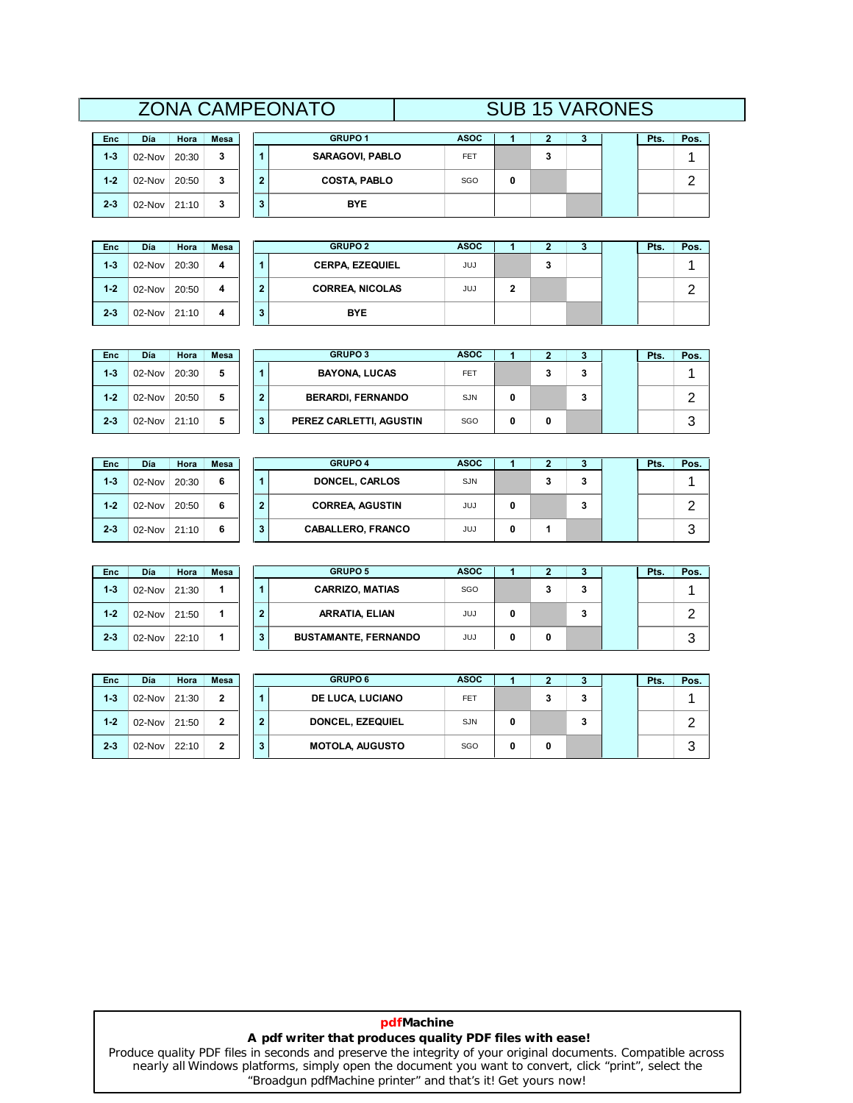## **2 2 3 PHS. PHS. PHS. PHS. PHS. PHS. PHS. PHS. PHS. PHS. PHS. PHS. PHS. PHS. PHS. PHS. PHS. PHS. PHS. PHS. PHS. PHS. PHS. PHS. PHS. PHS. PHS. PHS. PHS. PHS.**

| Enc     | Día    | Hora  | Mesa |                |  |
|---------|--------|-------|------|----------------|--|
| $1 - 3$ | 02-Nov | 20:30 | 3    |                |  |
| $1 - 2$ | 02-Nov | 20:50 | 3    | $\overline{2}$ |  |
| $2 - 3$ | 02-Nov | 21:10 | 3    | 3              |  |

|        |       |             |   | <b>ZONA CAMPEONATO</b> |             |   | <b>SUB 15 VARONES</b> |      |      |  |
|--------|-------|-------------|---|------------------------|-------------|---|-----------------------|------|------|--|
| Día    | Hora  | <b>Mesa</b> |   | <b>GRUPO 1</b>         | <b>ASOC</b> |   |                       | Pts. | Pos. |  |
| 02-Nov | 20:30 | 3           |   | <b>SARAGOVI, PABLO</b> | FET         |   |                       |      |      |  |
| 02-Nov | 20:50 | 3           | ≘ | <b>COSTA, PABLO</b>    | SGO         | 0 |                       |      | ົ    |  |
| 02-Nov | 21:10 | 3           | 3 | <b>BYE</b>             |             |   |                       |      |      |  |

| Enc     | Día    | Hora  | Mesa |
|---------|--------|-------|------|
| $1-3$   | 02-Nov | 20:30 | 4    |
| $1 - 2$ | 02-Nov | 20:50 | 4    |
| $2 - 3$ | 02-Nov | 21:10 | 4    |

| Día    | Hora  | <b>Mesa</b> |   | <b>GRUPO 2</b>         | <b>ASOC</b> |   |         | .,<br>a. | Pts. | Pos. |
|--------|-------|-------------|---|------------------------|-------------|---|---------|----------|------|------|
| 02-Nov | 20:30 | 4           |   | <b>CERPA, EZEQUIEL</b> | JUJ         |   | ◠<br>J. |          |      |      |
| 02-Nov | 20:50 | 4           | 2 | <b>CORREA, NICOLAS</b> | JUJ         | 2 |         |          |      | ◠    |
| 02-Nov | 21:10 | 4           | 3 | <b>BYE</b>             |             |   |         |          |      |      |

| <b>Enc</b> | Día    | Hora  | Mesa | <b>GRUPO 3</b>                | <b>ASOC</b> |   | 2 | Ð | Pts. | Pos. |
|------------|--------|-------|------|-------------------------------|-------------|---|---|---|------|------|
| $1 - 3$    | 02-Nov | 20:30 | 5    | <b>BAYONA, LUCAS</b>          | <b>FET</b>  |   | 3 | 3 |      |      |
| $1 - 2$    | 02-Nov | 20:50 | 5    | <b>BERARDI, FERNANDO</b><br>2 | <b>SJN</b>  | 0 |   | 3 |      | ົ    |
| $2 - 3$    | 02-Nov | 21:10 | 5    | PEREZ CARLETTI, AGUSTIN<br>3  | SGO         | 0 | 0 |   |      | 3    |

| <b>Enc</b> | Día    | Hora  | <b>Mesa</b> |              | <b>GRUPO 4</b>           | <b>ASOC</b> |   | 2  | 3 | Pts. | Pos. |
|------------|--------|-------|-------------|--------------|--------------------------|-------------|---|----|---|------|------|
| $1 - 3$    | 02-Nov | 20:30 | 6           |              | <b>DONCEL, CARLOS</b>    | <b>SJN</b>  |   | J. | 3 |      |      |
| $1 - 2$    | 02-Nov | 20:50 | 6           | $\mathbf{2}$ | <b>CORREA, AGUSTIN</b>   | <b>JUJ</b>  | 0 |    | 3 |      | ົ    |
| $2 - 3$    | 02-Nov | 21:10 | 6           | 3            | <b>CABALLERO, FRANCO</b> | <b>JUJ</b>  |   |    |   |      | 3    |

| <b>Enc</b> | <b>Día</b> | Hora  | <b>Mesa</b> |   | <b>GRUPO 5</b>              | <b>ASOC</b> |   |   | ٠J | Pts. | Pos. |
|------------|------------|-------|-------------|---|-----------------------------|-------------|---|---|----|------|------|
| $1 - 3$    | 02-Nov     | 21:30 |             |   | <b>CARRIZO, MATIAS</b>      | SGO         |   | 3 | 3  |      |      |
| $1 - 2$    | 02-Nov     | 21:50 |             | ົ | <b>ARRATIA, ELIAN</b>       | <b>JUJ</b>  | 0 |   | 3  |      | ົ    |
| $2 - 3$    | 02-Nov     | 22:10 |             | 3 | <b>BUSTAMANTE, FERNANDO</b> | <b>JUJ</b>  | 0 | 0 |    |      | 3    |

| Enc.    | Día    | Hora  | <b>Mesa</b> |                | <b>GRUPO 6</b>          | <b>ASOC</b> |   | 2 |   | Pts. | Pos. |
|---------|--------|-------|-------------|----------------|-------------------------|-------------|---|---|---|------|------|
| $1 - 3$ | 02-Nov | 21:30 | 2           |                | DE LUCA, LUCIANO        | <b>FET</b>  |   | 3 | 3 |      |      |
| $1 - 2$ | 02-Nov | 21:50 | 2           | $\overline{2}$ | <b>DONCEL, EZEQUIEL</b> | <b>SJN</b>  | 0 |   | 3 |      | ົ    |
| $2 - 3$ | 02-Nov | 22:10 | 2           | 3              | <b>MOTOLA, AUGUSTO</b>  | SGO         | 0 | 0 |   |      | 3    |

## **pdfMachine A pdf writer that produces quality PDF files with ease!**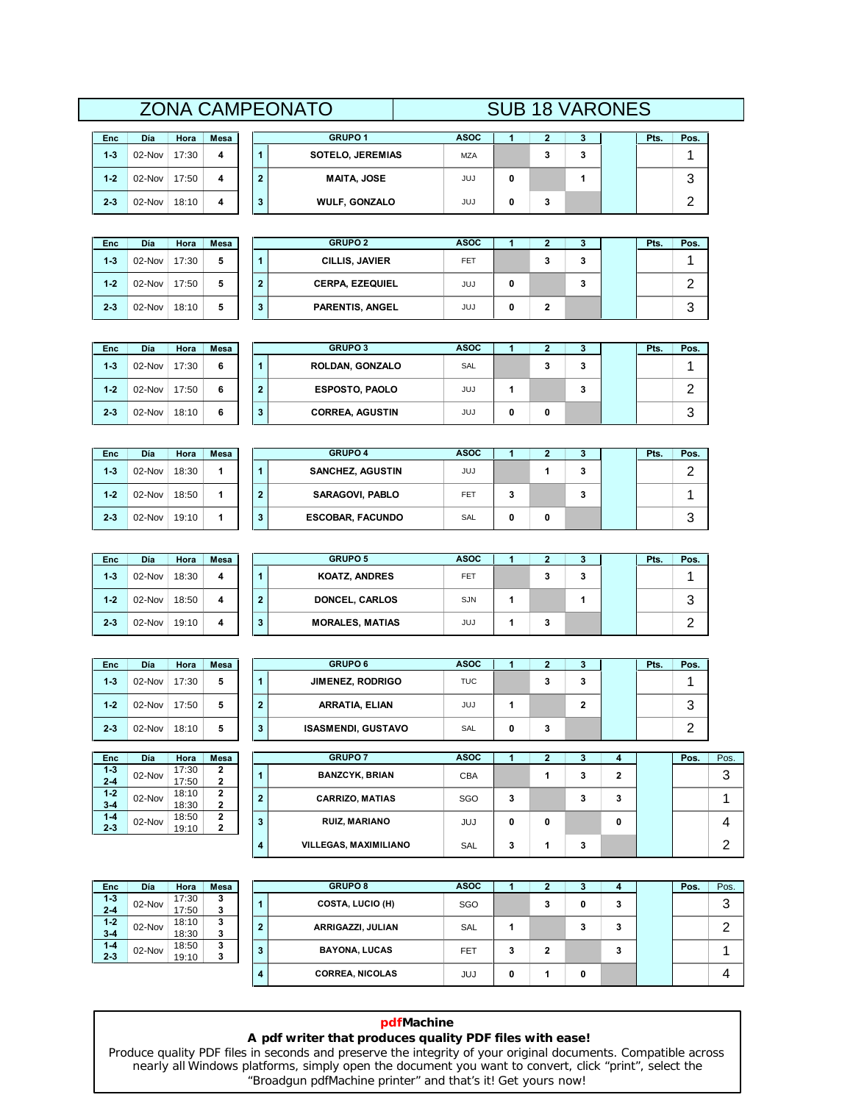## **DÌa Hora Mesa <sup>1</sup> <sup>2</sup> <sup>3</sup> Pts. Pos.** ZONA CAMPEONATO SUB 18 VARONES **GRUPOSOCIETY**<br> **SOFT**

| Enc     | Día    | Hora  | Mesa |
|---------|--------|-------|------|
| $1 - 3$ | 02-Nov | 17:30 | 4    |
| $1 - 2$ | 02-Nov | 17:50 | 4    |
| $2 - 3$ | 02-Nov | 18:10 |      |

| Enc     | Día    | Hora  | Mesa |
|---------|--------|-------|------|
| $1 - 3$ | 02-Nov | 17:30 | 5    |
| $1 - 2$ | 02-Nov | 17:50 | 5    |
| $2 - 3$ | 02-Nov | 18:10 | 5    |

**1-2**

**3-4**

**1-4**

**2-3**

| Día    | Hora  | <b>Mesa</b> |   | <b>GRUPO 1</b>          | <b>ASOC</b> |   | з | Pts. | Pos. |
|--------|-------|-------------|---|-------------------------|-------------|---|---|------|------|
| 02-Nov | 17:30 | 4           |   | <b>SOTELO, JEREMIAS</b> | <b>MZA</b>  |   | з |      |      |
| 02-Nov | 17:50 | 4           | ົ | <b>MAITA, JOSE</b>      | JUJ         |   |   |      |      |
| 02-Nov | 18:10 | 4           | 3 | <b>WULF, GONZALO</b>    | JUJ         | з |   |      |      |

| Día    | Hora  | <b>Mesa</b> |   | <b>GRUPO 2</b>         | <b>ASOC</b> |   | a. | Pts. | Pos.   |
|--------|-------|-------------|---|------------------------|-------------|---|----|------|--------|
| 02-Nov | 17:30 | 5           |   | <b>CILLIS, JAVIER</b>  | <b>FET</b>  |   | 3  |      |        |
| 02-Nov | 17:50 | 5           | 2 | <b>CERPA, EZEQUIEL</b> | JUJ         | 0 | 3  |      |        |
| 02-Nov | 18:10 | 5           | 3 | <b>PARENTIS, ANGEL</b> | JUJ         | 0 |    |      | c<br>u |

| <b>Enc</b> | <b>Día</b> | Hora  | Mesa |              | <b>GRUPO 3</b>         | <b>ASOC</b> | 2 | 3 | Pts. | Pos. |
|------------|------------|-------|------|--------------|------------------------|-------------|---|---|------|------|
| $1 - 3$    | 02-Nov     | 17:30 | 6    |              | ROLDAN, GONZALO        | SAL         |   | 3 |      |      |
| $1 - 2$    | 02-Nov     | 17:50 | 6    | $\mathbf{2}$ | <b>ESPOSTO, PAOLO</b>  | JUJ         |   | 3 |      | ົ    |
| $2 - 3$    | 02-Nov     | 18:10 | 6    | 3            | <b>CORREA, AGUSTIN</b> | JUJ         | 0 |   |      | 3    |

| <b>Enc</b> | <b>Día</b> | Hora  | Mesa |                | <b>GRUPO 4</b>          | <b>ASOC</b> |   | ▴ |   | Pts. | Pos.   |
|------------|------------|-------|------|----------------|-------------------------|-------------|---|---|---|------|--------|
| $1 - 3$    | 02-Nov     | 18:30 |      |                | <b>SANCHEZ, AGUSTIN</b> | JUJ         |   |   | 3 |      | ົ<br>▃ |
| $1 - 2$    | 02-Nov     | 18:50 |      | $\overline{2}$ | <b>SARAGOVI, PABLO</b>  | <b>FET</b>  | 3 |   | 3 |      |        |
| $2 - 3$    | 02-Nov     | 19:10 |      | 3              | <b>ESCOBAR, FACUNDO</b> | SAL         | 0 | 0 |   |      | 3      |

| <b>Enc</b> | Día    | Hora  | Mesa |   | <b>GRUPO 5</b>         | <b>ASOC</b> | ▴ | з | Pts. | Pos.   |
|------------|--------|-------|------|---|------------------------|-------------|---|---|------|--------|
| $1 - 3$    | 02-Nov | 18:30 | 4    |   | <b>KOATZ, ANDRES</b>   | <b>FET</b>  | 3 | 3 |      |        |
| $1 - 2$    | 02-Nov | 18:50 | 4    | n | <b>DONCEL, CARLOS</b>  | <b>SJN</b>  |   |   |      | ົ<br>J |
| $2 - 3$    | 02-Nov | 19:10 | 4    | 3 | <b>MORALES, MATIAS</b> | JUJ         | 3 |   |      | ົ      |

| <b>Enc</b> | Día    | Hora  | <b>Mesa</b> |                | <b>GRUPO 6</b>            | <b>ASOC</b> |   |   | з |   | Pts. | Pos. |      |
|------------|--------|-------|-------------|----------------|---------------------------|-------------|---|---|---|---|------|------|------|
| $1 - 3$    | 02-Nov | 17:30 | 5           |                | <b>JIMENEZ, RODRIGO</b>   | <b>TUC</b>  |   | 3 | 3 |   |      |      |      |
| $1 - 2$    | 02-Nov | 17:50 | 5           | $\overline{2}$ | <b>ARRATIA, ELIAN</b>     | JUJ         |   |   | 2 |   |      | 3    |      |
| $2 - 3$    | 02-Nov | 18:10 | 5           | 3              | <b>ISASMENDI, GUSTAVO</b> | SAL         | 0 | 3 |   |   |      | ◠    |      |
|            |        |       |             |                |                           |             |   |   |   |   |      |      |      |
| <b>Enc</b> | Día    | Hora  | <b>Mesa</b> |                | <b>GRUPO 7</b>            | <b>ASOC</b> |   |   |   | 4 |      | Pos. | Pos. |

| Día    | Hora           | <b>Mesa</b>       |   | <b>GRUPO 7</b>               | <b>ASOC</b> |   | -3 | 4 | Pos. | Pos. |
|--------|----------------|-------------------|---|------------------------------|-------------|---|----|---|------|------|
| 02-Nov | 17:30<br>17:50 | 2<br>2            |   | <b>BANZCYK, BRIAN</b>        | <b>CBA</b>  |   | з  | 2 |      | 3    |
| 02-Nov | 18:10<br>18:30 | 2<br>$\mathbf{2}$ |   | <b>CARRIZO, MATIAS</b>       | <b>SGO</b>  | 3 | з  | з |      |      |
| 02-Nov | 18:50<br>19:10 | 2<br>$\mathbf{2}$ | 3 | <b>RUIZ, MARIANO</b>         | JUJ         | 0 |    | 0 |      | 4    |
|        |                |                   | 4 | <b>VILLEGAS, MAXIMILIANO</b> | SAL         | 3 | 3  |   |      | ົ    |

| <b>Enc</b> | Día    | Hora  | <b>Mesa</b> |         | <b>GRUPO 8</b>          | <b>ASOC</b> |   |   | J.      | 4 | Pos. | Pos. |
|------------|--------|-------|-------------|---------|-------------------------|-------------|---|---|---------|---|------|------|
| $1 - 3$    | 02-Nov | 17:30 | 3           |         | <b>COSTA, LUCIO (H)</b> | SGO         |   | 3 | 0       | 3 |      | ົ    |
| $2 - 4$    |        | 17:50 | 3           |         |                         |             |   |   |         |   |      | J    |
| $1 - 2$    | 02-Nov | 18:10 | 3           | ◠       | ARRIGAZZI, JULIAN       | SAL         |   |   | ≘<br>٠J | 3 |      | ◠    |
| $3 - 4$    |        | 18:30 | 3           |         |                         |             |   |   |         |   |      |      |
| $1 - 4$    | 02-Nov | 18:50 | 3           | ≏<br>J. | <b>BAYONA, LUCAS</b>    | FET         | 3 | 2 |         | 3 |      |      |
| $2 - 3$    |        | 19:10 | 3           |         |                         |             |   |   |         |   |      |      |
|            |        |       |             |         | <b>CORREA, NICOLAS</b>  | JUJ         | 0 |   | 0       |   |      | 4    |

## **pdfMachine A pdf writer that produces quality PDF files with ease!** [Produce quality PDF files in seconds and preserve the integrity of your original documents. Compatible across](http://www.pdfmachine.com?cl)  nearly all Windows platforms, simply open the document you want to convert, click "print", select the "Broadgun pdfMachine printer" and that's it! Get yours now!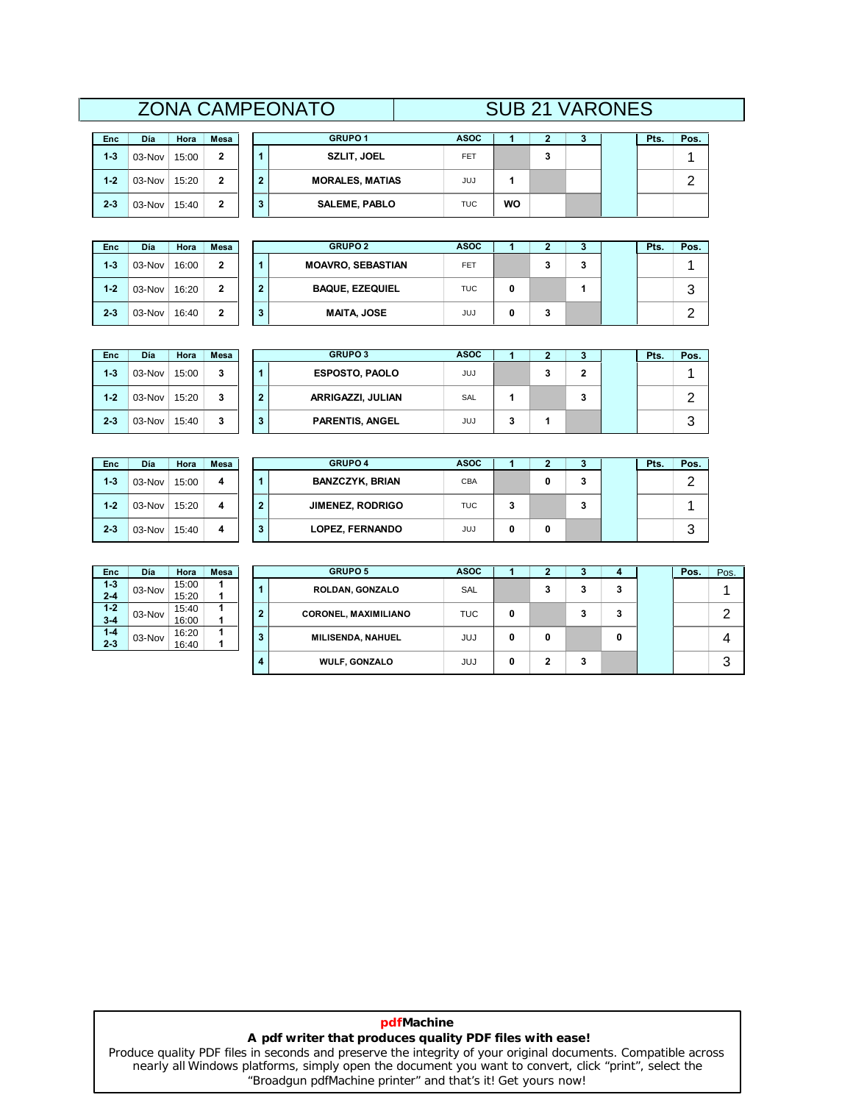## **21 VARONES**

| Enc     | Día    | Hora  | Mesa |
|---------|--------|-------|------|
| $1 - 3$ | 03-Nov | 15:00 | 2    |
| $1 - 2$ | 03-Nov | 15:20 | 2    |
| $2 - 3$ | 03-Nov | 15:40 | 2    |

|        |       |             |   | <b>ZONA CAMPEONATO</b> | <b>SUB 21 VARONES</b> |           |  |  |  |      |      |  |  |
|--------|-------|-------------|---|------------------------|-----------------------|-----------|--|--|--|------|------|--|--|
| Día    | Hora  | <b>Mesa</b> |   | <b>GRUPO1</b>          | <b>ASOC</b>           |           |  |  |  | Pts. | Pos. |  |  |
| 03-Nov | 15:00 | 2           |   | <b>SZLIT, JOEL</b>     | <b>FET</b>            |           |  |  |  |      |      |  |  |
| 03-Nov | 15:20 | 2           | 2 | <b>MORALES, MATIAS</b> | JUJ                   |           |  |  |  |      | ົ    |  |  |
| 03-Nov | 15:40 | 2           | 3 | <b>SALEME, PABLO</b>   | <b>TUC</b>            | <b>WO</b> |  |  |  |      |      |  |  |

| Enc     | Día      | Hora  | Mesa |
|---------|----------|-------|------|
| $1 - 3$ | $03-Nov$ | 16:00 | 2    |
| $1 - 2$ | 03-Nov   | 16:20 | 2    |
| $2 - 3$ | 03-Nov   | 16:40 | 2    |

| Día    | Hora  | <b>Mesa</b> |   | <b>GRUPO 2</b>           | <b>ASOC</b> |   | っ<br>J. | Pts. | Pos.   |
|--------|-------|-------------|---|--------------------------|-------------|---|---------|------|--------|
| 03-Nov | 16:00 | 2           |   | <b>MOAVRO, SEBASTIAN</b> | <b>FET</b>  |   | 3       |      |        |
| 03-Nov | 16:20 | 2           | 2 | <b>BAQUE, EZEQUIEL</b>   | <b>TUC</b>  | 0 |         |      | っ<br>J |
| 03-Nov | 16:40 | 2           | 3 | <b>MAITA, JOSE</b>       | JUJ         | 0 |         |      |        |

| Enc     | Día    | Hora  | <b>Mesa</b> |   | <b>GRUPO 3</b>         | <b>ASOC</b> |   |   | s | Pts. | Pos. |
|---------|--------|-------|-------------|---|------------------------|-------------|---|---|---|------|------|
| $1 - 3$ | 03-Nov | 15:00 | 3           |   | <b>ESPOSTO, PAOLO</b>  | <b>JUJ</b>  |   | 3 | 2 |      |      |
| $1 - 2$ | 03-Nov | 15:20 | 3           | - | ARRIGAZZI, JULIAN      | SAL         |   |   | 3 |      | ⌒    |
| $2 - 3$ | 03-Nov | 15:40 | 3           |   | <b>PARENTIS, ANGEL</b> | JUJ         | з |   |   |      | 3    |

| <b>Enc</b> | <b>D</b> ía | Hora  | <b>Mesa</b> |              | <b>GRUPO 4</b>          | <b>ASOC</b> |   |   | з | Pts. | Pos.          |
|------------|-------------|-------|-------------|--------------|-------------------------|-------------|---|---|---|------|---------------|
| $1 - 3$    | 03-Nov      | 15:00 | 4           |              | <b>BANZCZYK, BRIAN</b>  | CBA         |   | 0 | 3 |      | ົ<br><u>.</u> |
| $1 - 2$    | 03-Nov      | 15:20 | 4           | $\mathbf{2}$ | <b>JIMENEZ, RODRIGO</b> | <b>TUC</b>  | 3 |   | 3 |      |               |
| $2 - 3$    | 03-Nov      | 15:40 | 4           | 3            | <b>LOPEZ, FERNANDO</b>  | JUJ         | 0 | 0 |   |      | 3             |

| Enc     | Día    | Hora  | Mesa |                | <b>GRUPO 5</b>              | <b>ASOC</b> |   |    | J. | 4 | Pos. | Pos. |
|---------|--------|-------|------|----------------|-----------------------------|-------------|---|----|----|---|------|------|
| $1 - 3$ | 03-Nov | 15:00 |      |                | ROLDAN, GONZALO             | <b>SAL</b>  |   |    |    | 3 |      |      |
| $2 - 4$ |        | 15:20 |      |                |                             |             |   | J. | a  |   |      |      |
| $1 - 2$ | 03-Nov | 15:40 |      | $\overline{2}$ | <b>CORONEL, MAXIMILIANO</b> | <b>TUC</b>  | 0 |    |    | 3 |      | ⌒    |
| $3 - 4$ |        | 16:00 |      |                |                             |             |   |    | a  |   |      |      |
| $1 - 4$ | 03-Nov | 16:20 |      | 3              | <b>MILISENDA, NAHUEL</b>    | <b>JUJ</b>  | 0 | 0  |    | 0 |      |      |
| $2 - 3$ |        | 16:40 |      |                |                             |             |   |    |    |   |      | 4    |
|         |        |       |      | 4              | <b>WULF, GONZALO</b>        | <b>JUJ</b>  | 0 |    | 3  |   |      | 3    |

## **pdfMachine A pdf writer that produces quality PDF files with ease!**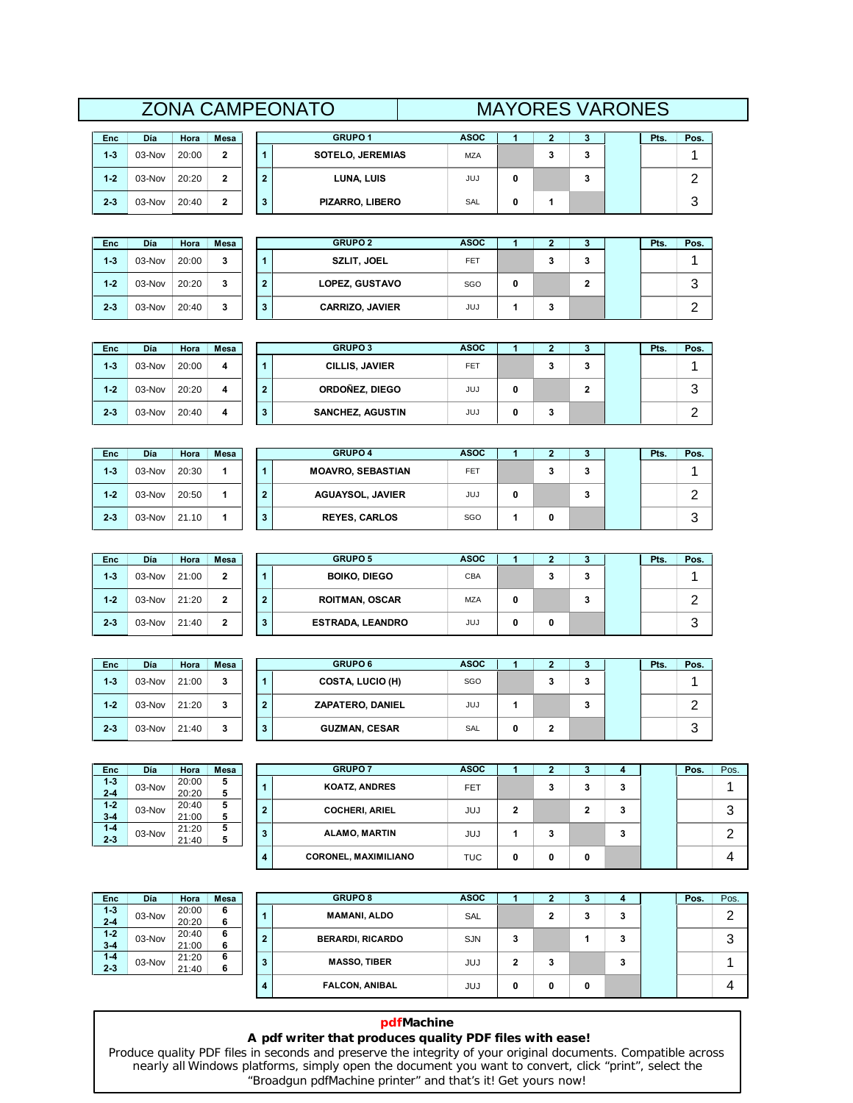## **Dia Hora Mesa 1 2 3 Hora Mesa 1 2 3 Pos. Pos. ASOC**ZONA CAMPEONATO MAYORES VARONES **SOCIED, 1**<br>**SOF GRUPO**

**2**

**1**

**3**

**<sup>3</sup>**

2

**3**

**JEREMIAS ASOC** 1 2 3 **Pts. Pos.**<br>**JEREMIAS** MZA 3 3 1

| Enc     | Día      | Hora  | Mesa |
|---------|----------|-------|------|
| $1 - 3$ | $03-Nov$ | 20:00 | 2    |
| $1 - 2$ | $03-Nov$ | 20:20 | 2    |
| $2 - 3$ | 03-Nov   | 20:40 | 2    |

| Enc     | Día      | Hora  | Mesa |
|---------|----------|-------|------|
| $1 - 3$ | $03-Nov$ | 20:00 | 3    |
| $1 - 2$ | $03-Nov$ | 20:20 | з    |
| $2 - 3$ | 03-Nov   | 20:40 | 3    |

| 03-Nov | 20:20 | 2    | $\mathbf{2}$ | LUNA, LUIS      | <b>JUJ</b>  | 0 | ≏<br>a |      | $\sqrt{2}$ |
|--------|-------|------|--------------|-----------------|-------------|---|--------|------|------------|
| 03-Nov | 20:40 | 2    | 3            | PIZARRO, LIBERO | SAL         | 0 |        |      | ◠<br>J     |
|        |       |      |              |                 |             |   |        |      |            |
| Día    |       |      |              |                 |             |   |        |      |            |
|        | Hora  | Mesa |              | <b>GRUPO 2</b>  | <b>ASOC</b> |   | ◠      | Pts. | Pos.       |

JUJ MZA

**LUNA, LUIS <sup>3</sup>**

| 03-Nov | 20:00 | 3 |                 | <b>SZLIT, JOEL</b>     | FET |  |  |        |
|--------|-------|---|-----------------|------------------------|-----|--|--|--------|
| 03-Nov | 20:20 | , | $\sqrt{2}$      | <b>LOPEZ, GUSTAVO</b>  | SGO |  |  | ∽<br>ີ |
| 03-Nov | 20:40 | 3 | $\bullet$<br>J. | <b>CARRIZO, JAVIER</b> | JUJ |  |  | -      |

| Enc.    | Día    | Hora  | <b>Mesa</b> |                | <b>GRUPO 3</b>          | <b>ASOC</b> |   | 2 | - 1 | Pts. | Pos.       |
|---------|--------|-------|-------------|----------------|-------------------------|-------------|---|---|-----|------|------------|
| $1 - 3$ | 03-Nov | 20:00 | 4           |                | <b>CILLIS, JAVIER</b>   | <b>FET</b>  |   | 3 | ٠J  |      |            |
| $1 - 2$ | 03-Nov | 20:20 | 4           | $\overline{2}$ | ORDOÑEZ, DIEGO          | JUJ         | 0 |   |     |      | 3          |
| $2 - 3$ | 03-Nov | 20:40 | 4           | 3              | <b>SANCHEZ, AGUSTIN</b> | JUJ         | 0 | 3 |     |      | $\sqrt{2}$ |

| <b>Enc</b> | <b>D</b> ía | Hora  | Mesa |         | <b>GRUPO 4</b>           | <b>ASOC</b> |   |   |  | Pts. | Pos. |
|------------|-------------|-------|------|---------|--------------------------|-------------|---|---|--|------|------|
| $1 - 3$    | 03-Nov      | 20:30 |      |         | <b>MOAVRO, SEBASTIAN</b> | <b>FET</b>  |   | 3 |  |      |      |
| $1 - 2$    | 03-Nov      | 20:50 |      | 2       | <b>AGUAYSOL, JAVIER</b>  | JUJ         | 0 |   |  |      | ◠    |
| $2 - 3$    | 03-Nov      | 21.10 |      | ≘<br>J. | <b>REYES, CARLOS</b>     | SGO         |   | 0 |  |      | 3    |

| <b>Enc</b> | <b>D</b> ía | Hora  | <b>Mesa</b> |   | <b>GRUPO 5</b>          | <b>ASOC</b> |   | ▴ |  | Pts. | Pos.   |
|------------|-------------|-------|-------------|---|-------------------------|-------------|---|---|--|------|--------|
| $1 - 3$    | 03-Nov      | 21:00 | 2           |   | <b>BOIKO, DIEGO</b>     | <b>CBA</b>  |   | 3 |  |      |        |
| $1 - 2$    | 03-Nov      | 21:20 | 2           | 2 | <b>ROITMAN, OSCAR</b>   | <b>MZA</b>  | 0 |   |  |      | ົ<br>▃ |
| $2 - 3$    | 03-Nov      | 21:40 | 2           | 3 | <b>ESTRADA, LEANDRO</b> | <b>JUJ</b>  | 0 | 0 |  |      | 3      |

| <b>Enc</b> | Día    | Hora  | <b>Mesa</b> |   | <b>GRUPO 6</b>          | <b>ASOC</b> |   |   | o  | Pts. | Pos.       |
|------------|--------|-------|-------------|---|-------------------------|-------------|---|---|----|------|------------|
| $1 - 3$    | 03-Nov | 21:00 | 3           |   | <b>COSTA, LUCIO (H)</b> | SGO         |   | 3 | ٠J |      |            |
| $1 - 2$    | 03-Nov | 21:20 | 3           | 2 | <b>ZAPATERO, DANIEL</b> | <b>JUJ</b>  |   |   | ٠J |      | $\sqrt{2}$ |
| $2 - 3$    | 03-Nov | 21:40 | 3           | 3 | <b>GUZMAN, CESAR</b>    | SAL         | 0 | 2 |    |      | 3          |

| Enc     | Día      | Hora  | <b>Mesa</b> |              |  |
|---------|----------|-------|-------------|--------------|--|
| $1 - 3$ | $03-Nov$ | 20:00 | 5           | 1            |  |
| $2 - 4$ |          | 20:20 | 5           |              |  |
| $1 - 2$ | $03-Nov$ | 20:40 | 5           | $\mathbf{2}$ |  |
| $3 - 4$ |          | 21:00 | 5           |              |  |
| $1 - 4$ | $03-Nov$ | 21:20 | 5           | 3            |  |
| $2 - 3$ |          | 21:40 | 5           |              |  |
|         |          |       |             |              |  |

| Enc     | <b>D</b> ía | Hora  | <b>Mesa</b> |                | <b>GRUPO 7</b>              | <b>ASOC</b> |   |   |        |   | Pos. | Pos. |
|---------|-------------|-------|-------------|----------------|-----------------------------|-------------|---|---|--------|---|------|------|
| $1-3$   | 03-Nov      | 20:00 | 5           |                | <b>KOATZ, ANDRES</b>        | FET         |   | з | ◠<br>a | 3 |      |      |
| $2 - 4$ |             | 20:20 | 5           |                |                             |             |   |   |        |   |      |      |
| $1-2$   | 03-Nov      | 20:40 | 5           | $\overline{2}$ | <b>COCHERI, ARIEL</b>       | JUJ         | າ |   | າ      | 3 |      | 3    |
| $3-4$   |             | 21:00 | 5           |                |                             |             |   |   |        |   |      |      |
| $1 - 4$ | 03-Nov      | 21:20 | 5           | 3              | <b>ALAMO, MARTIN</b>        | JUJ         |   | 3 |        |   |      | ົ    |
| $2 - 3$ |             | 21:40 | 5           |                |                             |             |   |   |        | a |      | _    |
|         |             |       |             | 4              | <b>CORONEL, MAXIMILIANO</b> | TUC         | 0 | 0 | 0      |   |      | 4    |

| <b>Enc</b>         | <b>D</b> ía | Hora           | Mesa   |                | <b>GRUPO 8</b>          | <b>ASOC</b> |   | ÷ |   | 4 | Pos. | Pos.    |
|--------------------|-------------|----------------|--------|----------------|-------------------------|-------------|---|---|---|---|------|---------|
| $1 - 3$<br>$2 - 4$ | 03-Nov      | 20:00<br>20:20 | 6<br>6 |                | <b>MAMANI, ALDO</b>     | SAL         |   | 2 | 3 | 3 |      | ◠       |
| $1 - 2$<br>$3 - 4$ | 03-Nov      | 20:40<br>21:00 | 6<br>6 | $\overline{2}$ | <b>BERARDI, RICARDO</b> | <b>SJN</b>  | 3 |   |   | 3 |      | ົ<br>۰J |
| $1 - 4$<br>$2 - 3$ | 03-Nov      | 21:20<br>21:40 | 6<br>6 | 3              | <b>MASSO, TIBER</b>     | JUJ         | 2 | 3 |   | 3 |      |         |
|                    |             |                |        | 4              | <b>FALCON, ANIBAL</b>   | JUJ         | 0 | 0 | 0 |   |      | 4       |

## **pdfMachine**

## **A pdf writer that produces quality PDF files with ease!**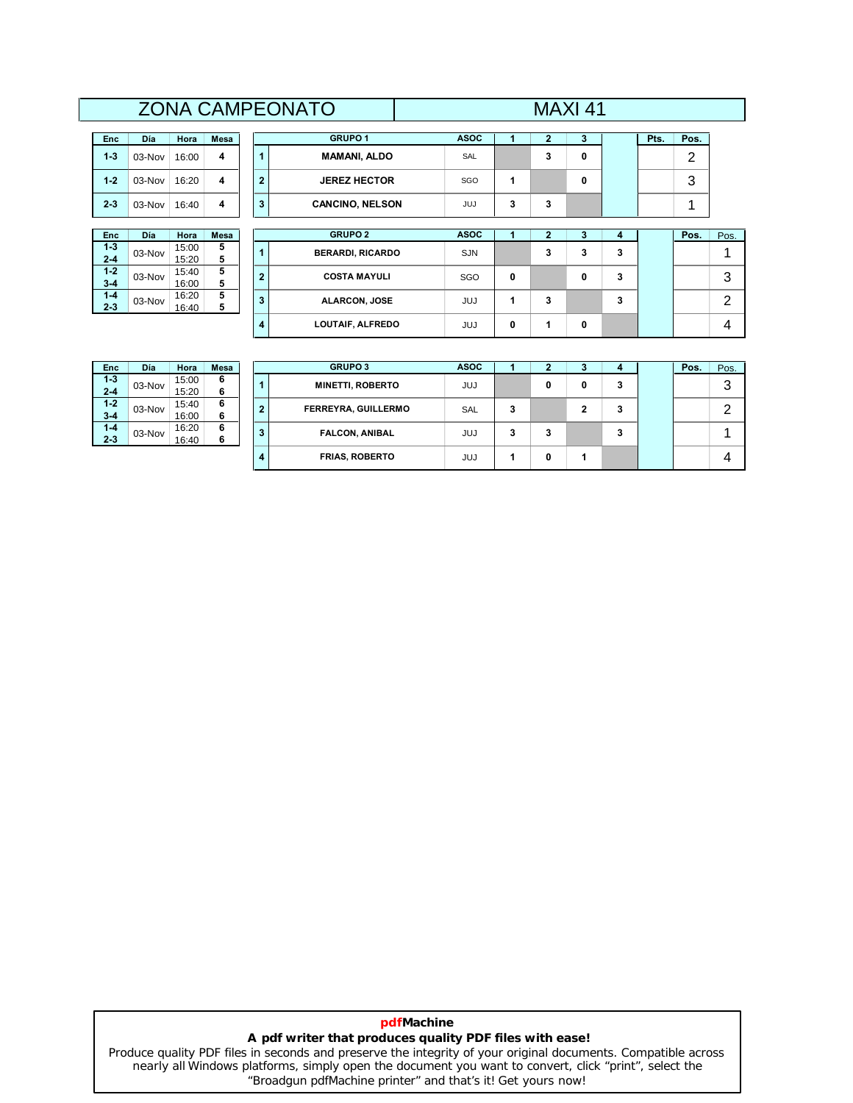## **DÌa Hora Mesa <sup>1</sup>**ZONA CAMPEONATO MAXI 41 **GRUPOMAMANI**<br>TGRUPO 1

## **23**03-Nov 16:00 **4**<br>03-Nov 16:20 **4 1**Día **Hora** Mesa

| Enc     | Día      | Hora  | <b>Mesa</b> |              |  |
|---------|----------|-------|-------------|--------------|--|
| $1 - 3$ | $03-Nov$ | 15:00 | 5           |              |  |
| $2 - 4$ |          | 15:20 | 5           |              |  |
| $1 - 2$ | $03-Nov$ | 15:40 | 5           | $\mathbf{2}$ |  |
| $3 - 4$ |          | 16:00 | 5           |              |  |
| $1 - 4$ | $03-Nov$ | 16:20 | 5           | 3            |  |
| $2 - 3$ |          | 16:40 | 5           |              |  |

**Enc**

**2-3**

**1-2**

**1-3**

|                  |        |                |        |                | <b><i>LUINA UAINFEUINATU</i></b> | $N$ $A$ $A$ $B$ $F$ |   |   |   |   |      |      |                |
|------------------|--------|----------------|--------|----------------|----------------------------------|---------------------|---|---|---|---|------|------|----------------|
| Enc              | Día    | Hora           | Mesa   |                | <b>GRUPO 1</b>                   | <b>ASOC</b>         |   | 2 | 3 |   | Pts. | Pos. |                |
| $1 - 3$          | 03-Nov | 16:00          | 4      |                | <b>MAMANI, ALDO</b>              | SAL                 |   | 3 | 0 |   |      | 2    |                |
| $1 - 2$          | 03-Nov | 16:20          | 4      | $\overline{2}$ | <b>JEREZ HECTOR</b>              | SGO                 |   |   | 0 |   |      | 3    |                |
| $2 - 3$          | 03-Nov | 16:40          | 4      | 3              | <b>CANCINO, NELSON</b>           | <b>JUJ</b>          | 3 | 3 |   |   |      |      |                |
|                  |        |                |        |                |                                  |                     |   |   |   |   |      |      |                |
| <b>Enc</b>       | Día    | Hora           | Mesa   |                | <b>GRUPO 2</b>                   | <b>ASOC</b>         |   |   | 3 | 4 |      | Pos. | Pos.           |
| $1-3$<br>$2 - 4$ | 03-Nov | 15:00<br>15:20 | 5<br>5 |                | <b>BERARDI, RICARDO</b>          | <b>SJN</b>          |   | 3 | 3 | 3 |      |      |                |
| $1-2$<br>$3 - 4$ | 03-Nov | 15:40<br>16:00 | 5<br>5 | $\overline{2}$ | <b>COSTA MAYULI</b>              | <b>SGO</b>          | 0 |   | 0 | 3 |      |      | 3              |
| $1 - 4$          | 03-Nov | 16:20          | 5      | 3              | <b>ALARCON, JOSE</b>             | <b>JUJ</b>          | 1 | 3 |   | 3 |      |      | $\overline{2}$ |
| $2 - 3$          |        | 16:40          | 5      |                |                                  |                     |   |   |   |   |      |      |                |

| <b>Enc</b> | <b>Día</b> | Hora  | <b>Mesa</b> |   | <b>GRUPO 3</b>          | <b>ASOC</b> |   |   |   | 4 | Pos. | Pos. |
|------------|------------|-------|-------------|---|-------------------------|-------------|---|---|---|---|------|------|
| $1 - 3$    | 03-Nov     | 15:00 | 6           |   | <b>MINETTI, ROBERTO</b> | JUJ         |   | 0 | 0 | 3 |      | 3    |
| $2 - 4$    |            | 15:20 | 6           |   |                         |             |   |   |   |   |      |      |
| $1 - 2$    | 03-Nov     | 15:40 | 6           | 2 | FERREYRA, GUILLERMO     | <b>SAL</b>  | 3 |   |   | 3 |      | ◠    |
| $3 - 4$    |            | 16:00 | 6           |   |                         |             |   |   |   |   |      | _    |
| $1 - 4$    | 03-Nov     | 16:20 | 6           | 3 | <b>FALCON, ANIBAL</b>   | <b>JUJ</b>  | 3 | 3 |   | 3 |      |      |
| $2 - 3$    |            | 16:40 | 6           |   |                         |             |   |   |   |   |      |      |
|            |            |       |             | 4 | <b>FRIAS, ROBERTO</b>   | <b>JUJ</b>  |   | 0 |   |   |      | 4    |

## **pdfMachine A pdf writer that produces quality PDF files with ease!**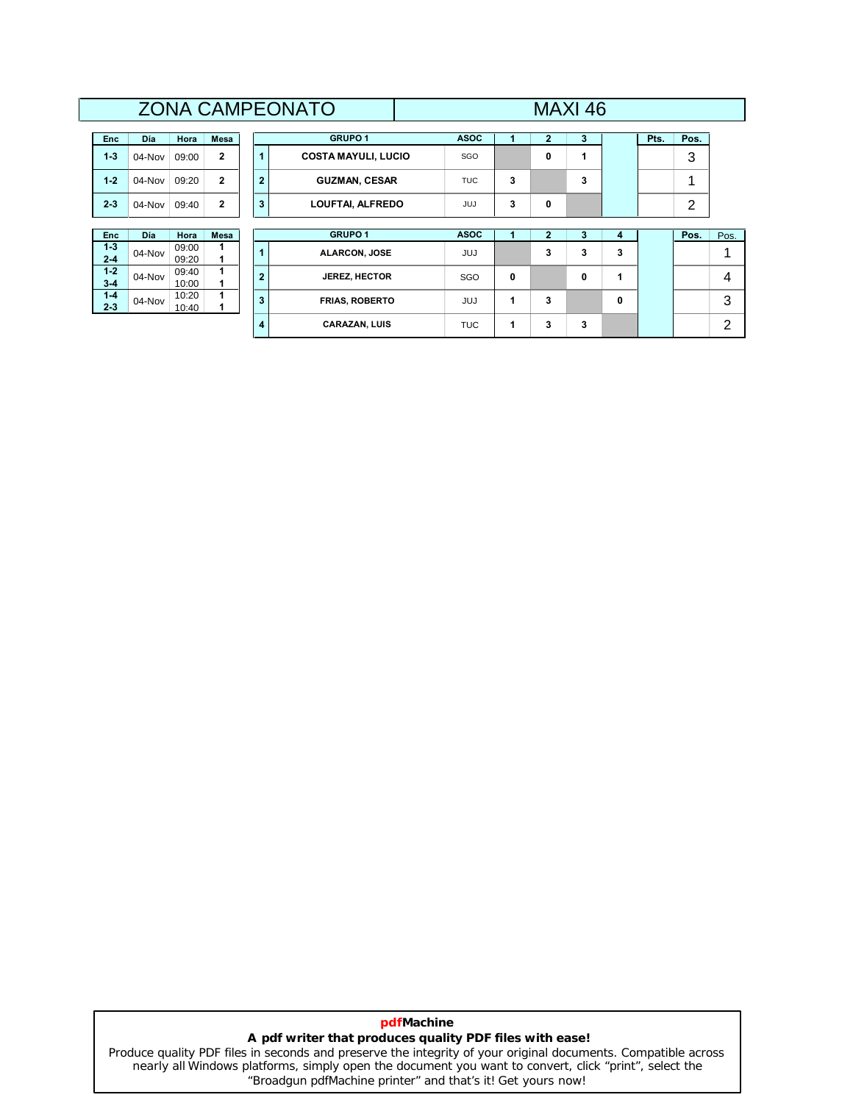## **DÌa Hora Mesa <sup>1</sup>**ZONA CAMPEONATO MAXI 46 **GRUPOCOSTAND SERVIPO 1**

## **Enc2-31-2**04-Nov 09:00 **2**<br>04-Nov 09:20 **2 1-3**Día | Hora | Mesa

| Enc     | Día    | Hora  | <b>Mesa</b> |              |  |
|---------|--------|-------|-------------|--------------|--|
| $1 - 3$ | 04-Nov | 09:00 |             |              |  |
| $2 - 4$ |        | 09:20 |             |              |  |
| $1 - 2$ | 04-Nov | 09:40 |             | $\mathbf{2}$ |  |
| $3 - 4$ |        | 10:00 |             |              |  |
| $1 - 4$ | 04-Nov | 10:20 |             | 3            |  |
| $2 - 3$ |        | 10:40 |             |              |  |

| Enc.               | Día    | Hora           | <b>Mesa</b>    |                | <b>GRUPO 1</b>             | <b>ASOC</b> |   | 2 | 3 |   | Pts. | Pos. |                |
|--------------------|--------|----------------|----------------|----------------|----------------------------|-------------|---|---|---|---|------|------|----------------|
| $1 - 3$            | 04-Nov | 09:00          | $\mathbf{2}$   |                | <b>COSTA MAYULI, LUCIO</b> | SGO         |   | 0 | 1 |   |      | 3    |                |
| $1 - 2$            | 04-Nov | 09:20          | $\overline{2}$ | $\overline{2}$ | <b>GUZMAN, CESAR</b>       | <b>TUC</b>  | 3 |   | 3 |   |      |      |                |
| $2 - 3$            | 04-Nov | 09:40          | $\overline{2}$ | 3              | LOUFTAI, ALFREDO           | <b>JUJ</b>  | 3 | 0 |   |   |      | 2    |                |
|                    |        |                |                |                |                            |             |   |   |   |   |      |      |                |
| Enc                | Día    | Hora           | Mesa           |                | <b>GRUPO 1</b>             | <b>ASOC</b> |   | 2 | 3 | 4 |      | Pos. | Pos.           |
| $1 - 3$<br>$2 - 4$ | 04-Nov | 09:00<br>09:20 |                |                | <b>ALARCON, JOSE</b>       | <b>JUJ</b>  |   | 3 | 3 | 3 |      |      | и              |
| $1-2$<br>$3 - 4$   | 04-Nov | 09:40<br>10:00 |                | $\overline{2}$ | <b>JEREZ, HECTOR</b>       | SGO         | 0 |   | 0 | 1 |      |      | $\overline{4}$ |
| $1 - 4$<br>$2 - 3$ | 04-Nov | 10:20<br>10:40 |                | 3              | <b>FRIAS, ROBERTO</b>      | <b>JUJ</b>  |   | 3 |   | 0 |      |      | 3              |
|                    |        |                |                | $\overline{4}$ | <b>CARAZAN, LUIS</b>       | <b>TUC</b>  | 1 | 3 | 3 |   |      |      | 2              |

**2 3 Pts. Pos.** 

## **pdfMachine A pdf writer that produces quality PDF files with ease!**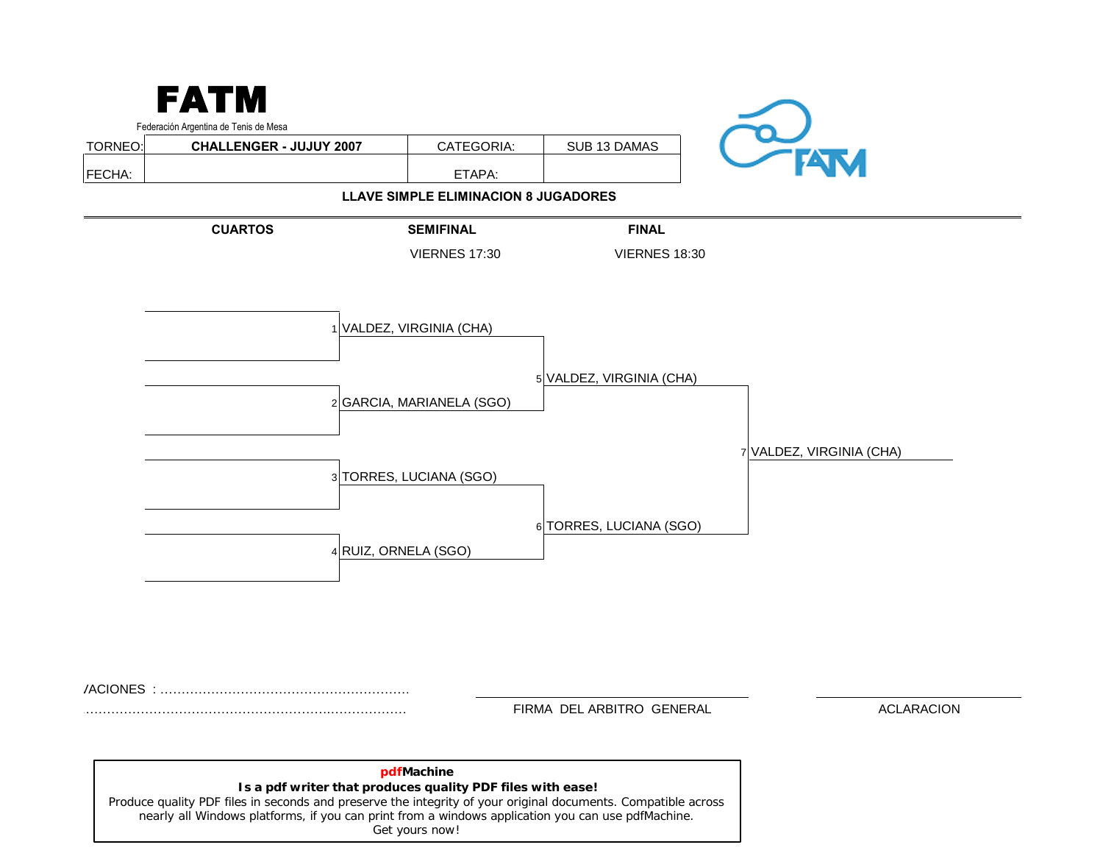| TORNEO: | CHALLENGER - JUJUY 2007                                                                                                                                                     | CATEGORIA:                                                                                               | SUB 13 DAMAS                                        |                          |
|---------|-----------------------------------------------------------------------------------------------------------------------------------------------------------------------------|----------------------------------------------------------------------------------------------------------|-----------------------------------------------------|--------------------------|
|         |                                                                                                                                                                             | ETAPA:                                                                                                   |                                                     | <b>FATM</b>              |
| FECHA:  |                                                                                                                                                                             | LLAVE SIMPLE ELIMINACION 8 JUGADORES                                                                     |                                                     |                          |
|         | <b>CUARTOS</b>                                                                                                                                                              | <b>SEMIFINAL</b>                                                                                         | <b>FINAL</b>                                        |                          |
|         |                                                                                                                                                                             | <b>VIERNES 17:30</b>                                                                                     | <b>VIERNES 18:30</b>                                |                          |
|         |                                                                                                                                                                             | 1 VALDEZ, VIRGINIA (CHA)<br>2 GARCIA, MARIANELA (SGO)<br>3 TORRES, LUCIANA (SGO)<br>4 RUIZ, ORNELA (SGO) | 5 VALDEZ, VIRGINIA (CHA)<br>6 TORRES, LUCIANA (SGO) | 7 VALDEZ, VIRGINIA (CHA) |
|         |                                                                                                                                                                             |                                                                                                          |                                                     |                          |
|         |                                                                                                                                                                             |                                                                                                          | FIRMA DEL ARBITRO GENERAL                           | <b>ACLARACION</b>        |
|         | Is a pdf writer that produces quality PDF files with ease!<br>Produce quality PDF files in seconds and preserve the integrity of your original documents. Compatible across | pdfMachine                                                                                               |                                                     |                          |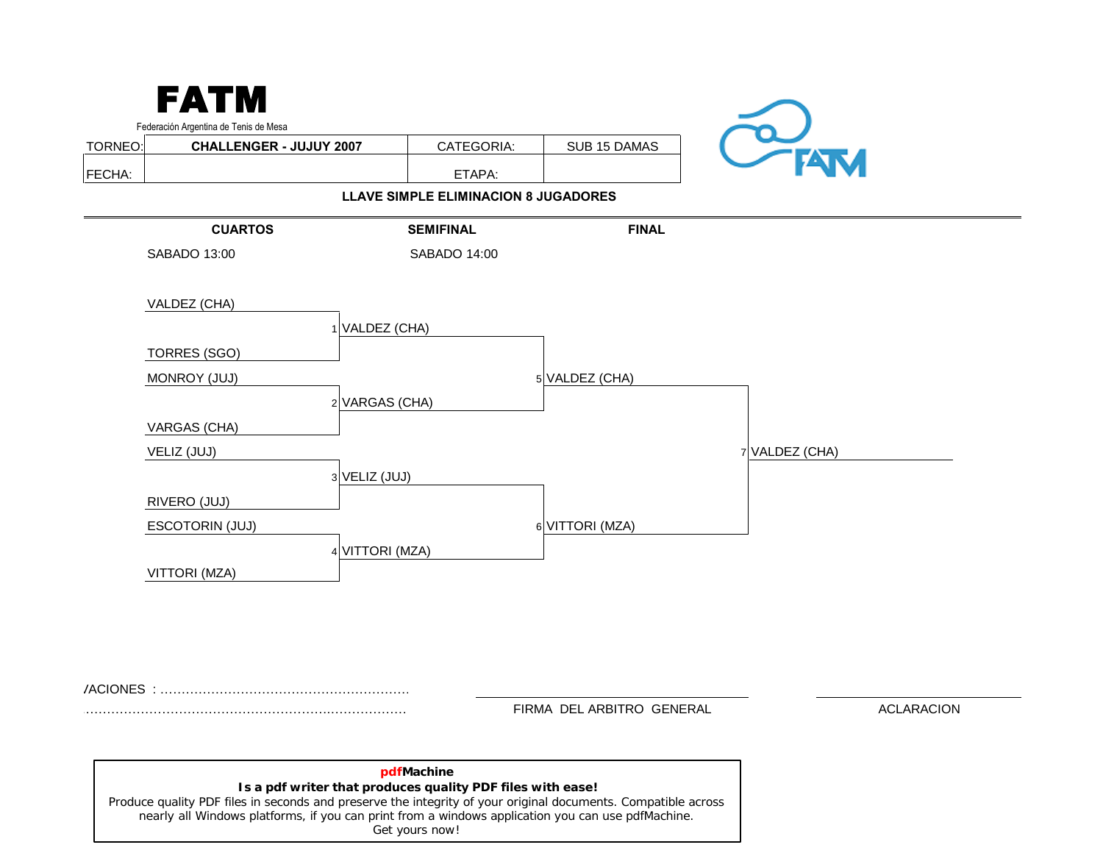



[Produce quality PDF files in seconds and preserve the integrity of your original documents. Compatible across](http://www.pdfmachine.com?cl)  nearly all Windows platforms, if you can print from a windows application you can use pdfMachine.

VARGAS (CHA)

Get yours now!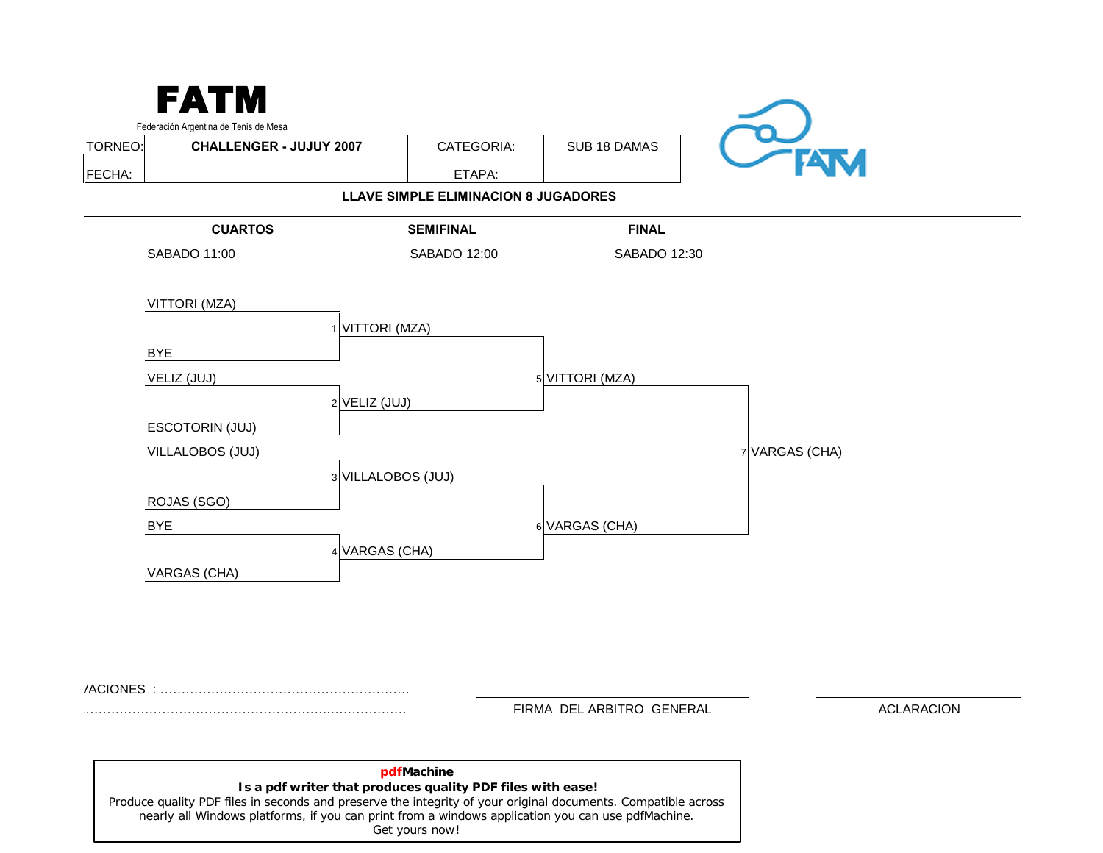| FECHA:                 |                    |                                             |                 |                |
|------------------------|--------------------|---------------------------------------------|-----------------|----------------|
|                        |                    | ETAPA:                                      |                 | <b>AM</b>      |
|                        |                    | <b>LLAVE SIMPLE ELIMINACION 8 JUGADORES</b> |                 |                |
| <b>CUARTOS</b>         |                    | <b>SEMIFINAL</b>                            | <b>FINAL</b>    |                |
| SABADO 11:00           |                    | SABADO 12:00                                | SABADO 12:30    |                |
|                        |                    |                                             |                 |                |
| VITTORI (MZA)          | 1 VITTORI (MZA)    |                                             |                 |                |
| <b>BYE</b>             |                    |                                             |                 |                |
| VELIZ (JUJ)            |                    |                                             | 5 VITTORI (MZA) |                |
|                        | 2 VELIZ (JUJ)      |                                             |                 |                |
| <b>ESCOTORIN (JUJ)</b> |                    |                                             |                 |                |
| VILLALOBOS (JUJ)       |                    |                                             |                 | 7 VARGAS (CHA) |
|                        | 3 VILLALOBOS (JUJ) |                                             |                 |                |
| ROJAS (SGO)            |                    |                                             |                 |                |
| <b>BYE</b>             |                    |                                             | 6 VARGAS (CHA)  |                |
| VARGAS (CHA)           | 4 VARGAS (CHA)     |                                             |                 |                |
|                        |                    |                                             |                 |                |

| pdfMachine                                                                                                    |
|---------------------------------------------------------------------------------------------------------------|
| Is a pdf writer that produces quality PDF files with ease!                                                    |
| Produce quality PDF files in seconds and preserve the integrity of your original documents. Compatible across |
| nearly all Windows platforms, if you can print from a windows application you can use pdfMachine.             |
| Get yours now!                                                                                                |
|                                                                                                               |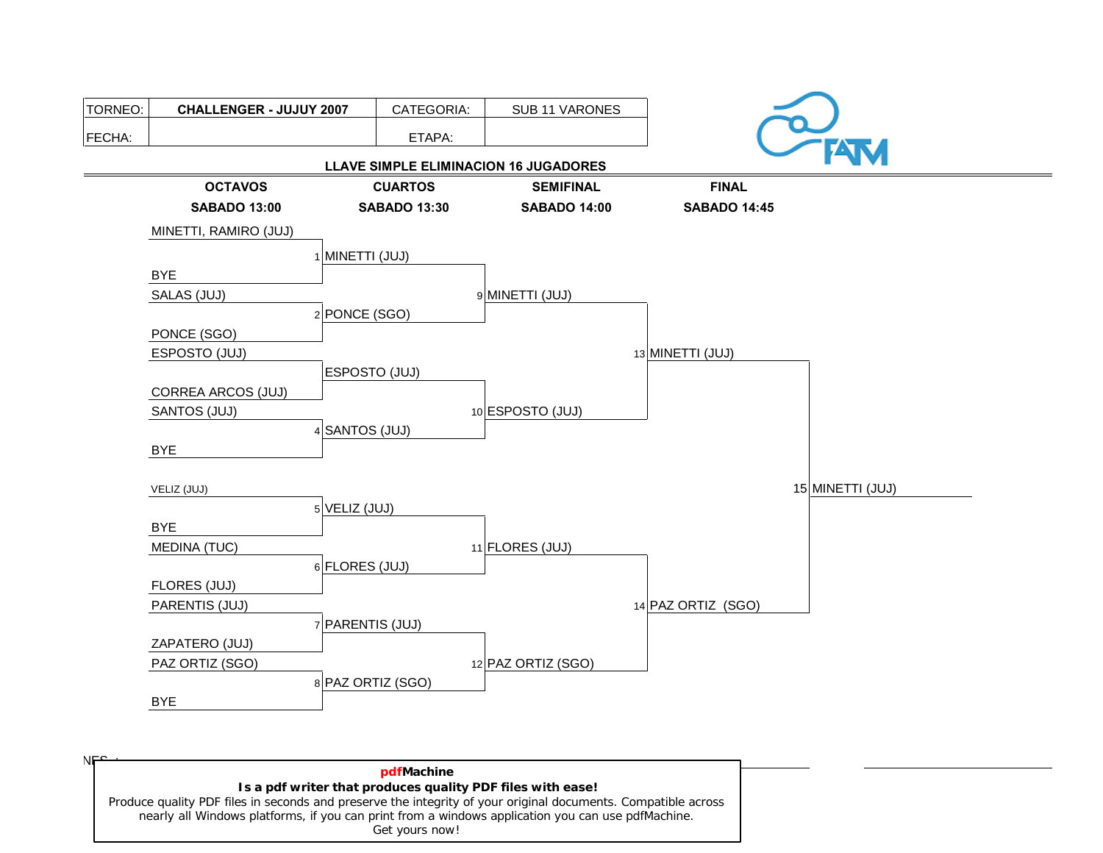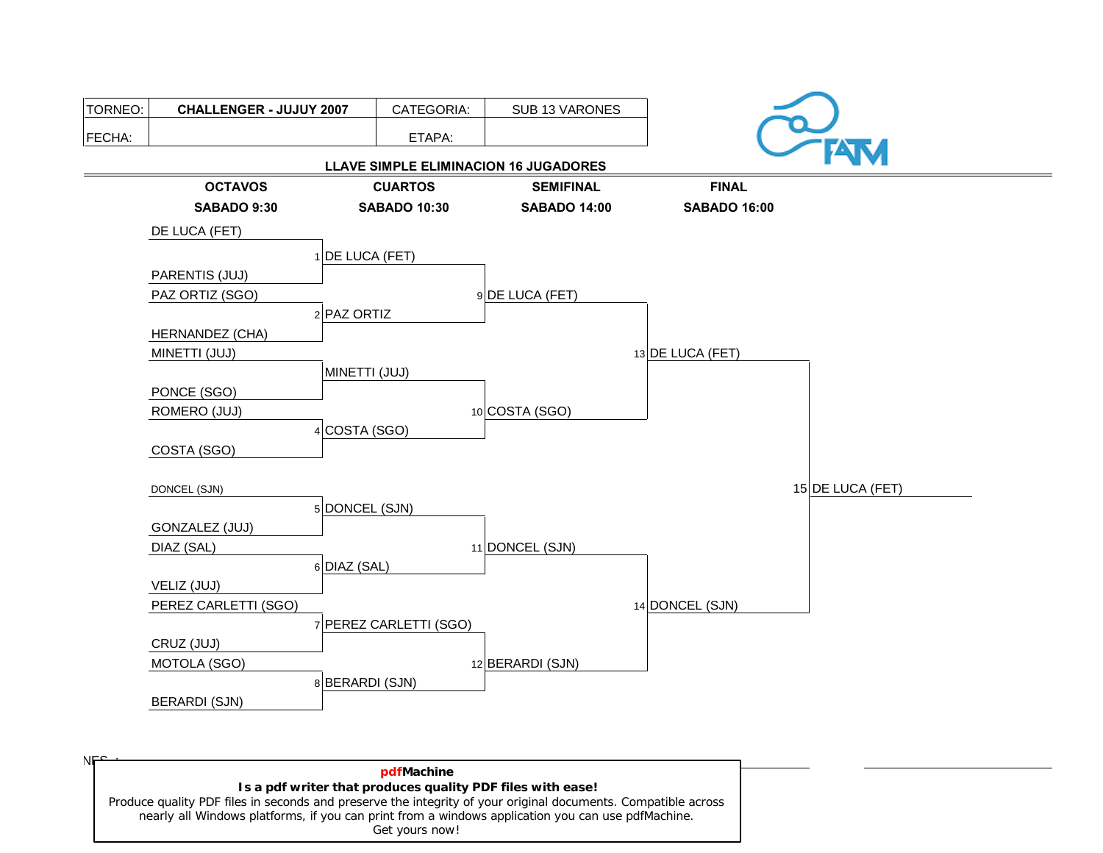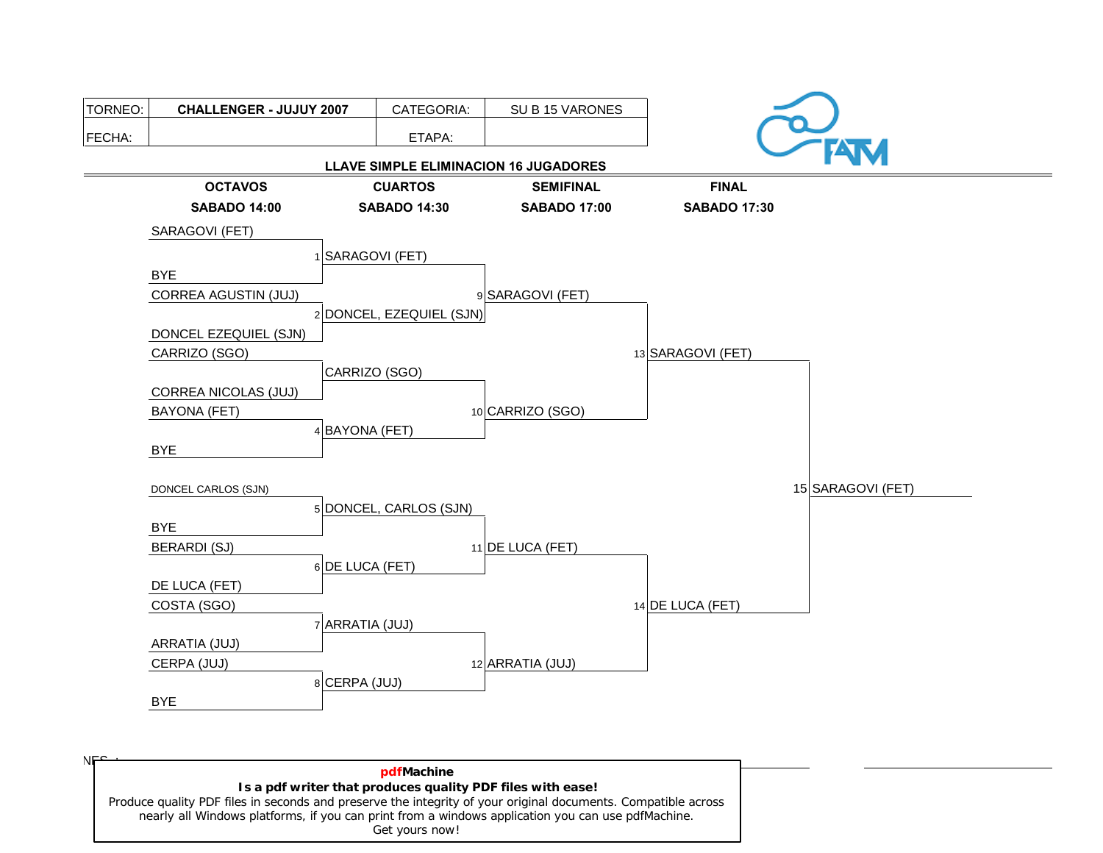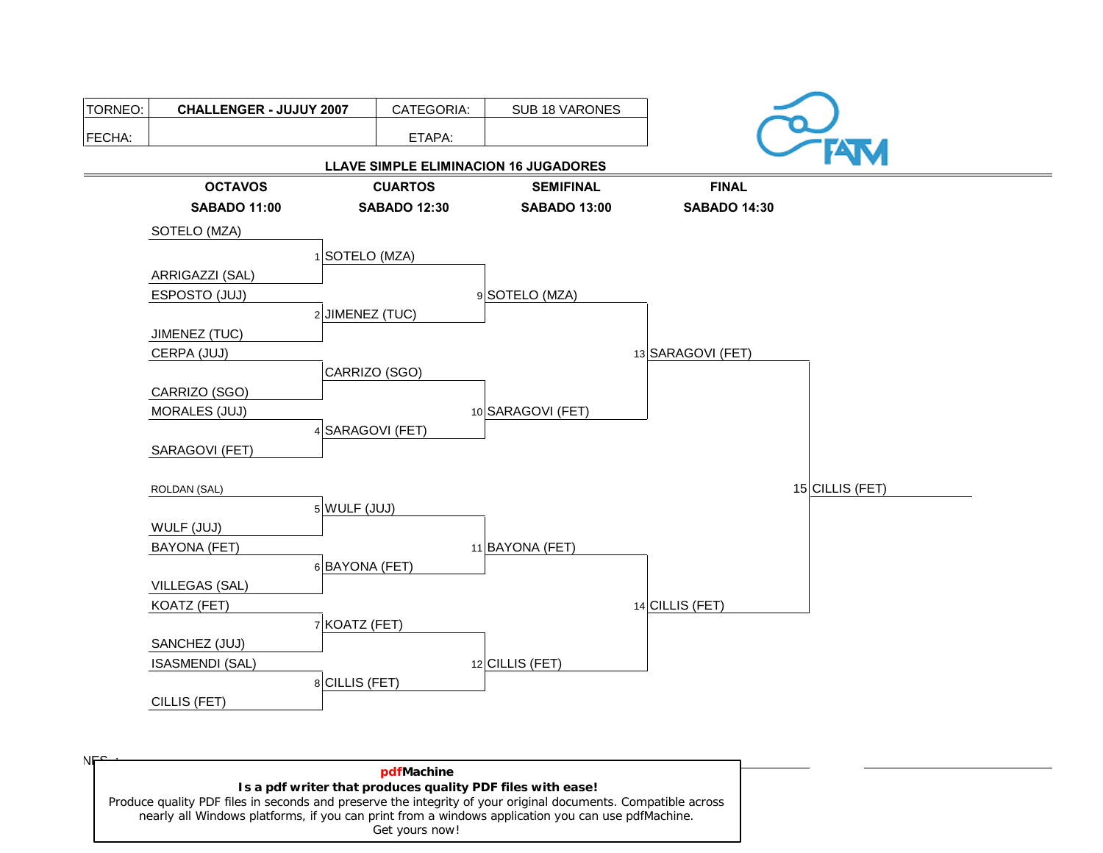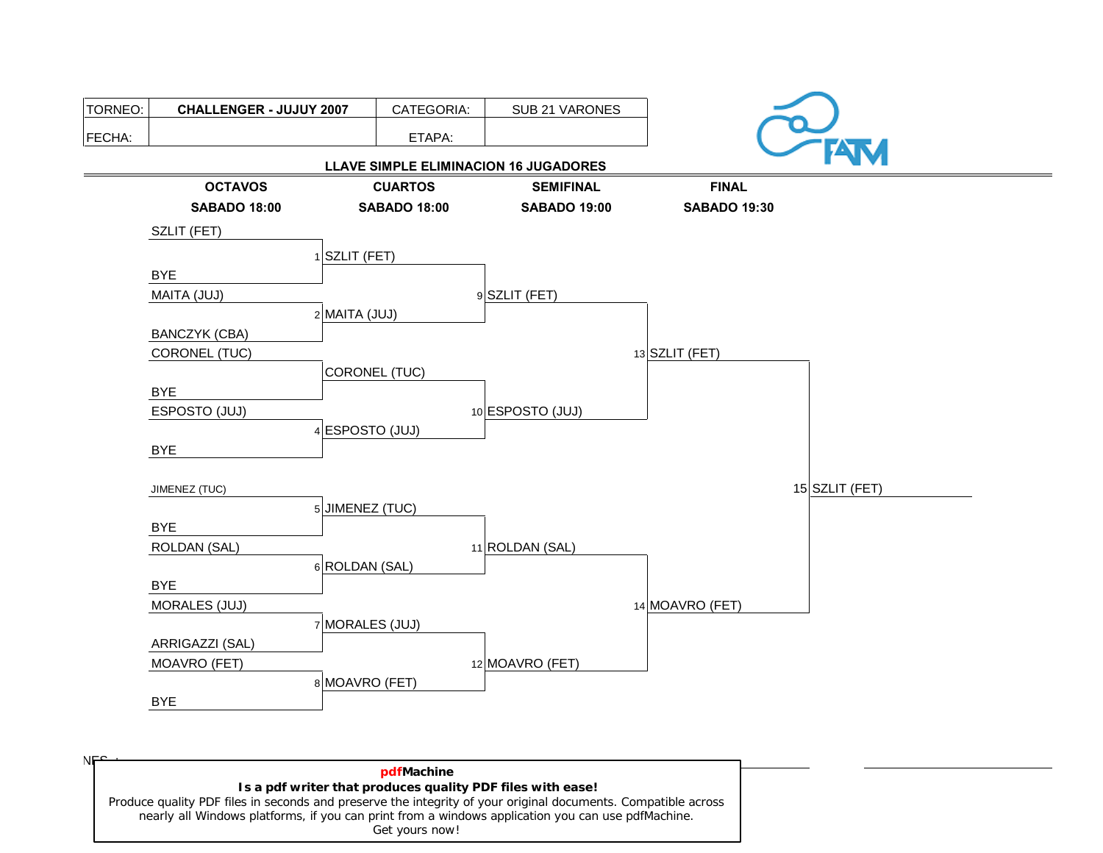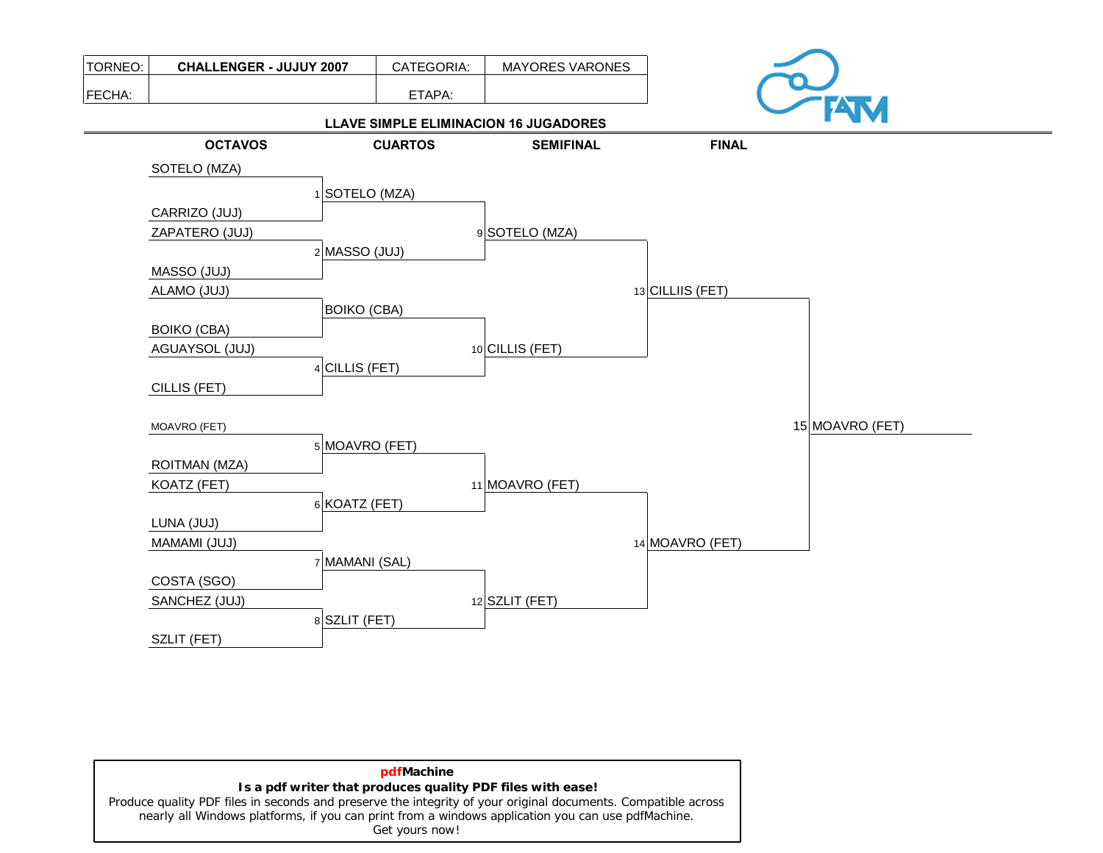| TORNEO: | <b>CHALLENGER - JUJUY 2007</b> | CATEGORIA: | <b>MAYORES VARONES</b>                       |  |
|---------|--------------------------------|------------|----------------------------------------------|--|
| FECHA:  |                                | ETAPA:     |                                              |  |
|         |                                |            | <b>LLAVE SIMPLE ELIMINACION 16 JUGADORES</b> |  |

# $\sqrt{M}$

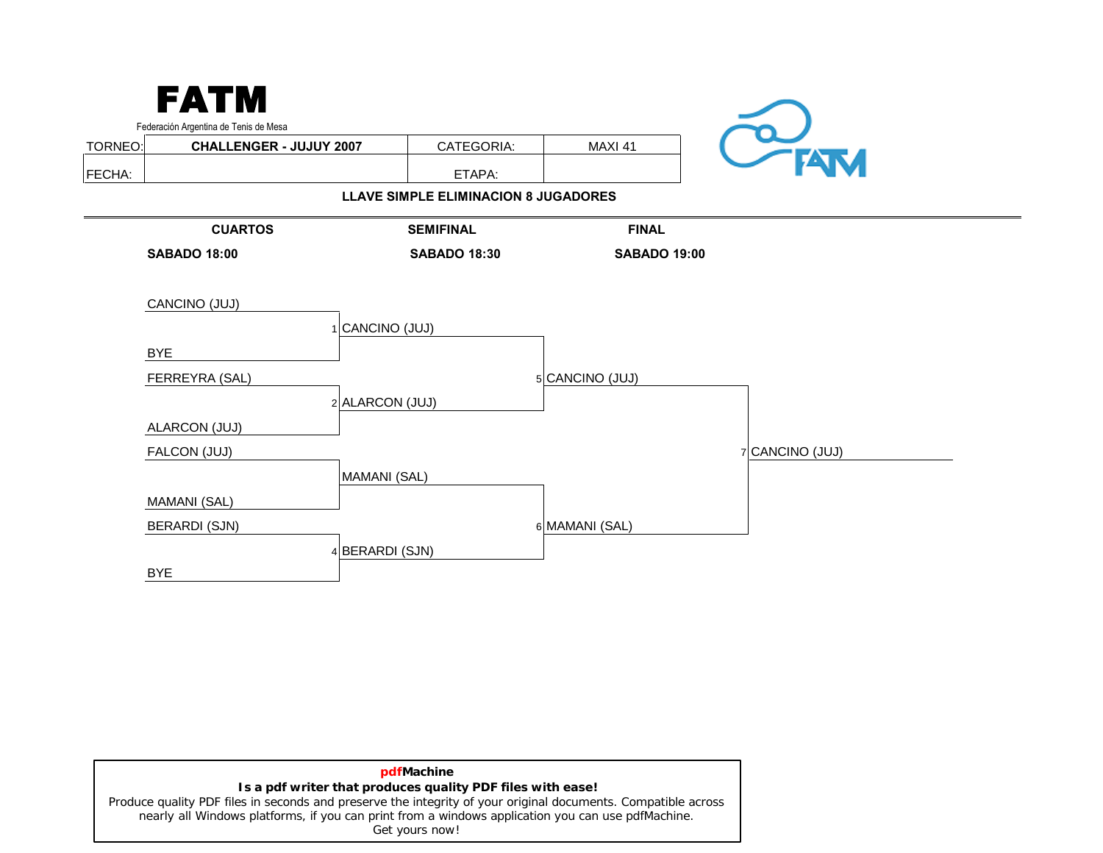

| pdfMachine                                                                                                    |
|---------------------------------------------------------------------------------------------------------------|
| Is a pdf writer that produces quality PDF files with ease!                                                    |
| Produce quality PDF files in seconds and preserve the integrity of your original documents. Compatible across |
| nearly all Windows platforms, if you can print from a windows application you can use pdfMachine.             |
| Get yours now!                                                                                                |
|                                                                                                               |